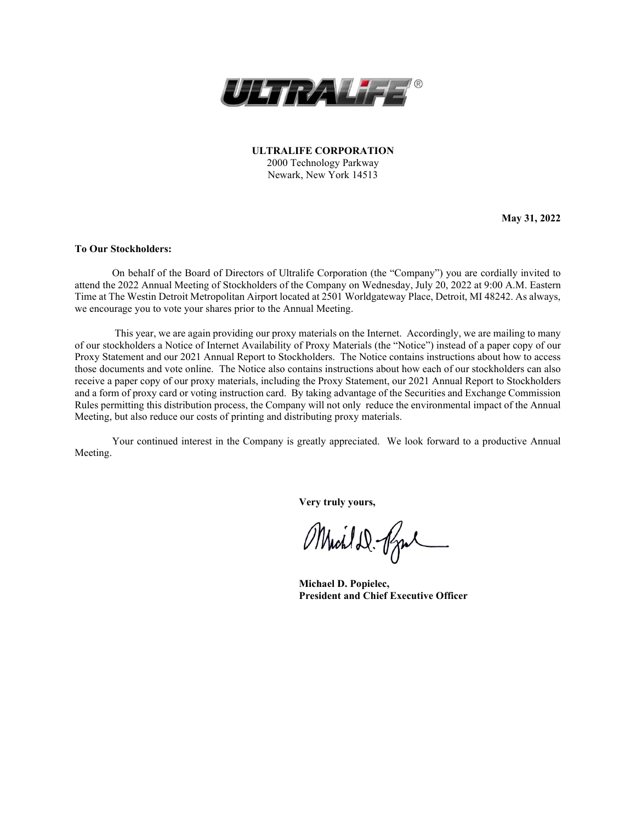

**ULTRALIFE CORPORATION** 2000 Technology Parkway Newark, New York 14513

**May 31, 2022**

#### **To Our Stockholders:**

On behalf of the Board of Directors of Ultralife Corporation (the "Company") you are cordially invited to attend the 2022 Annual Meeting of Stockholders of the Company on Wednesday, July 20, 2022 at 9:00 A.M. Eastern Time at The Westin Detroit Metropolitan Airport located at 2501 Worldgateway Place, Detroit, MI 48242. As always, we encourage you to vote your shares prior to the Annual Meeting.

This year, we are again providing our proxy materials on the Internet. Accordingly, we are mailing to many of our stockholders a Notice of Internet Availability of Proxy Materials (the "Notice") instead of a paper copy of our Proxy Statement and our 2021 Annual Report to Stockholders. The Notice contains instructions about how to access those documents and vote online. The Notice also contains instructions about how each of our stockholders can also receive a paper copy of our proxy materials, including the Proxy Statement, our 2021 Annual Report to Stockholders and a form of proxy card or voting instruction card. By taking advantage of the Securities and Exchange Commission Rules permitting this distribution process, the Company will not only reduce the environmental impact of the Annual Meeting, but also reduce our costs of printing and distributing proxy materials.

Your continued interest in the Company is greatly appreciated. We look forward to a productive Annual Meeting.

**Very truly yours,** 

Michel D. Pyne

**Michael D. Popielec, President and Chief Executive Officer**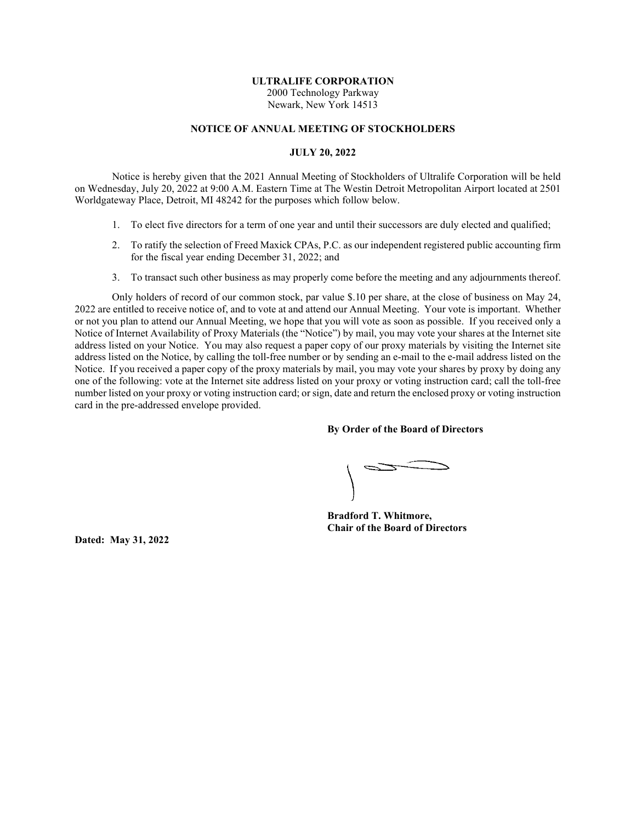#### **ULTRALIFE CORPORATION**

2000 Technology Parkway Newark, New York 14513

#### **NOTICE OF ANNUAL MEETING OF STOCKHOLDERS**

#### **JULY 20, 2022**

Notice is hereby given that the 2021 Annual Meeting of Stockholders of Ultralife Corporation will be held on Wednesday, July 20, 2022 at 9:00 A.M. Eastern Time at The Westin Detroit Metropolitan Airport located at 2501 Worldgateway Place, Detroit, MI 48242 for the purposes which follow below.

- 1. To elect five directors for a term of one year and until their successors are duly elected and qualified;
- 2. To ratify the selection of Freed Maxick CPAs, P.C. as our independent registered public accounting firm for the fiscal year ending December 31, 2022; and
- 3. To transact such other business as may properly come before the meeting and any adjournments thereof.

Only holders of record of our common stock, par value \$.10 per share, at the close of business on May 24, 2022 are entitled to receive notice of, and to vote at and attend our Annual Meeting. Your vote is important. Whether or not you plan to attend our Annual Meeting, we hope that you will vote as soon as possible. If you received only a Notice of Internet Availability of Proxy Materials (the "Notice") by mail, you may vote your shares at the Internet site address listed on your Notice. You may also request a paper copy of our proxy materials by visiting the Internet site address listed on the Notice, by calling the toll-free number or by sending an e-mail to the e-mail address listed on the Notice. If you received a paper copy of the proxy materials by mail, you may vote your shares by proxy by doing any one of the following: vote at the Internet site address listed on your proxy or voting instruction card; call the toll-free number listed on your proxy or voting instruction card; or sign, date and return the enclosed proxy or voting instruction card in the pre-addressed envelope provided.

#### **By Order of the Board of Directors**

**Bradford T. Whitmore, Chair of the Board of Directors**

**Dated: May 31, 2022**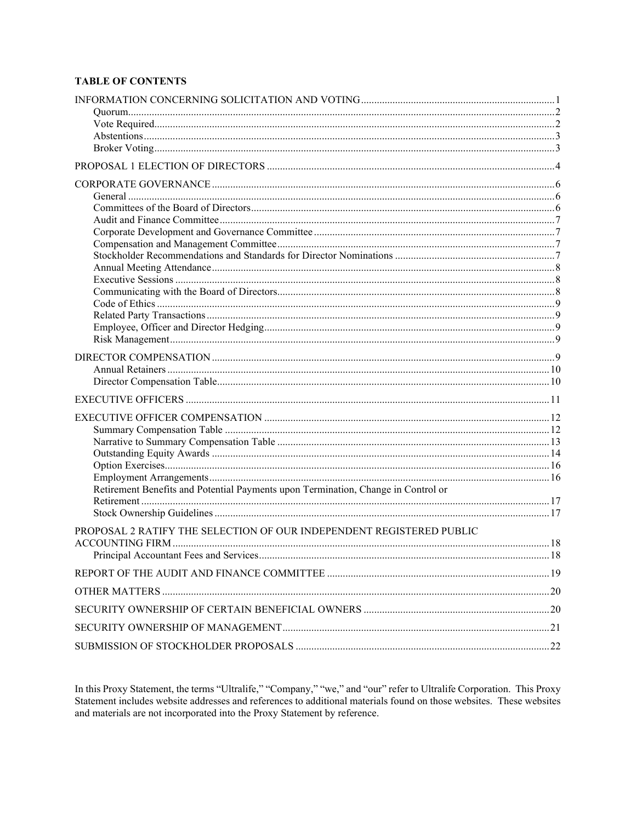# **TABLE OF CONTENTS**

| Retirement Benefits and Potential Payments upon Termination, Change in Control or |  |
|-----------------------------------------------------------------------------------|--|
|                                                                                   |  |
|                                                                                   |  |
| PROPOSAL 2 RATIFY THE SELECTION OF OUR INDEPENDENT REGISTERED PUBLIC              |  |
|                                                                                   |  |
|                                                                                   |  |
|                                                                                   |  |
|                                                                                   |  |
|                                                                                   |  |
|                                                                                   |  |
|                                                                                   |  |

In this Proxy Statement, the terms "Ultralife," "Company," "we," and "our" refer to Ultralife Corporation. This Proxy Statement includes website addresses and references to additional materials found on those websites. The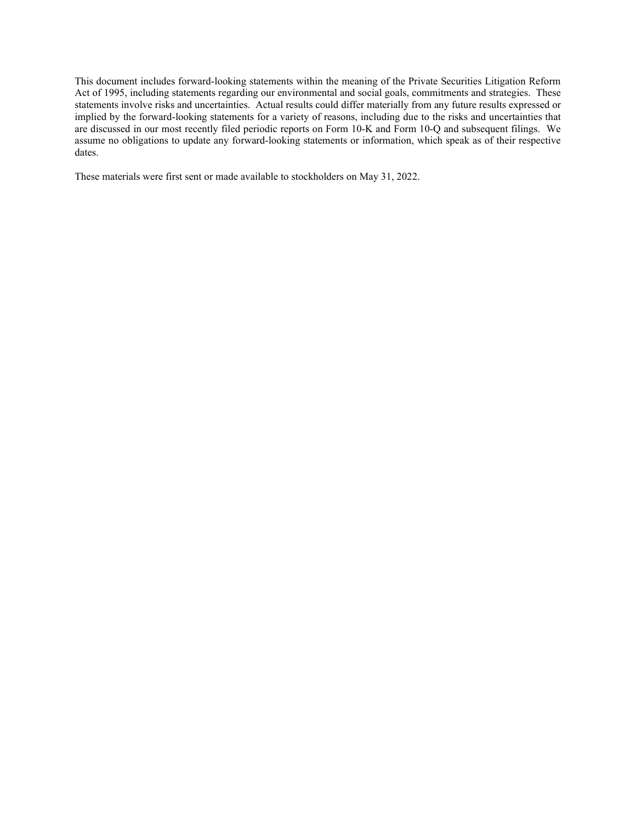This document includes forward-looking statements within the meaning of the Private Securities Litigation Reform Act of 1995, including statements regarding our environmental and social goals, commitments and strategies. These statements involve risks and uncertainties. Actual results could differ materially from any future results expressed or implied by the forward-looking statements for a variety of reasons, including due to the risks and uncertainties that are discussed in our most recently filed periodic reports on Form 10-K and Form 10-Q and subsequent filings. We assume no obligations to update any forward-looking statements or information, which speak as of their respective dates.

These materials were first sent or made available to stockholders on May 31, 2022.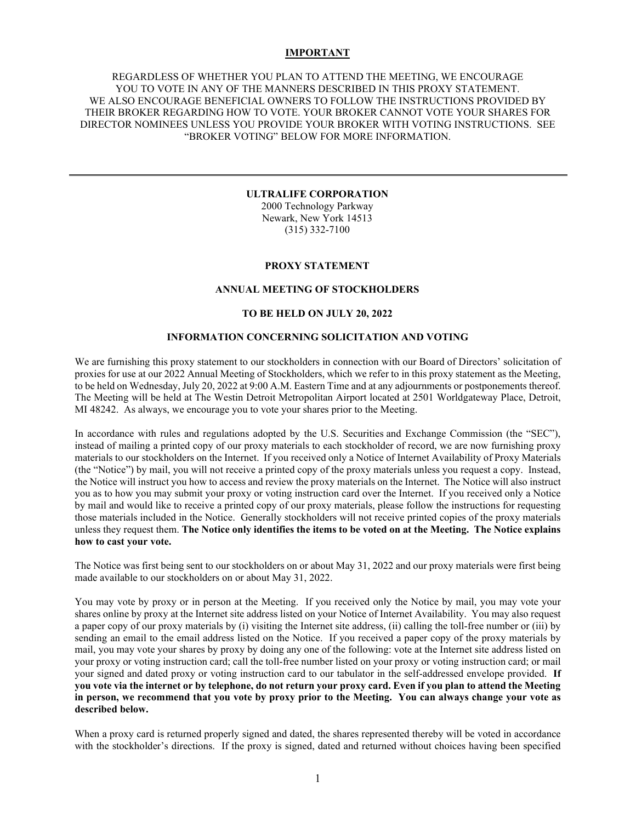## **IMPORTANT**

REGARDLESS OF WHETHER YOU PLAN TO ATTEND THE MEETING, WE ENCOURAGE YOU TO VOTE IN ANY OF THE MANNERS DESCRIBED IN THIS PROXY STATEMENT. WE ALSO ENCOURAGE BENEFICIAL OWNERS TO FOLLOW THE INSTRUCTIONS PROVIDED BY THEIR BROKER REGARDING HOW TO VOTE. YOUR BROKER CANNOT VOTE YOUR SHARES FOR DIRECTOR NOMINEES UNLESS YOU PROVIDE YOUR BROKER WITH VOTING INSTRUCTIONS. SEE "BROKER VOTING" BELOW FOR MORE INFORMATION.

#### **ULTRALIFE CORPORATION**

2000 Technology Parkway Newark, New York 14513 (315) 332-7100

#### **PROXY STATEMENT**

#### **ANNUAL MEETING OF STOCKHOLDERS**

# **TO BE HELD ON JULY 20, 2022**

#### **INFORMATION CONCERNING SOLICITATION AND VOTING**

<span id="page-4-0"></span>We are furnishing this proxy statement to our stockholders in connection with our Board of Directors' solicitation of proxies for use at our 2022 Annual Meeting of Stockholders, which we refer to in this proxy statement as the Meeting, to be held on Wednesday, July 20, 2022 at 9:00 A.M. Eastern Time and at any adjournments or postponements thereof. The Meeting will be held at The Westin Detroit Metropolitan Airport located at 2501 Worldgateway Place, Detroit, MI 48242. As always, we encourage you to vote your shares prior to the Meeting.

In accordance with rules and regulations adopted by the U.S. Securities and Exchange Commission (the "SEC"), instead of mailing a printed copy of our proxy materials to each stockholder of record, we are now furnishing proxy materials to our stockholders on the Internet. If you received only a Notice of Internet Availability of Proxy Materials (the "Notice") by mail, you will not receive a printed copy of the proxy materials unless you request a copy. Instead, the Notice will instruct you how to access and review the proxy materials on the Internet. The Notice will also instruct you as to how you may submit your proxy or voting instruction card over the Internet. If you received only a Notice by mail and would like to receive a printed copy of our proxy materials, please follow the instructions for requesting those materials included in the Notice. Generally stockholders will not receive printed copies of the proxy materials unless they request them. **The Notice only identifies the items to be voted on at the Meeting. The Notice explains how to cast your vote.**

The Notice was first being sent to our stockholders on or about May 31, 2022 and our proxy materials were first being made available to our stockholders on or about May 31, 2022.

You may vote by proxy or in person at the Meeting. If you received only the Notice by mail, you may vote your shares online by proxy at the Internet site address listed on your Notice of Internet Availability. You may also request a paper copy of our proxy materials by (i) visiting the Internet site address, (ii) calling the toll-free number or (iii) by sending an email to the email address listed on the Notice. If you received a paper copy of the proxy materials by mail, you may vote your shares by proxy by doing any one of the following: vote at the Internet site address listed on your proxy or voting instruction card; call the toll-free number listed on your proxy or voting instruction card; or mail your signed and dated proxy or voting instruction card to our tabulator in the self-addressed envelope provided. **If you vote via the internet or by telephone, do not return your proxy card. Even if you plan to attend the Meeting in person, we recommend that you vote by proxy prior to the Meeting. You can always change your vote as described below.**

When a proxy card is returned properly signed and dated, the shares represented thereby will be voted in accordance with the stockholder's directions. If the proxy is signed, dated and returned without choices having been specified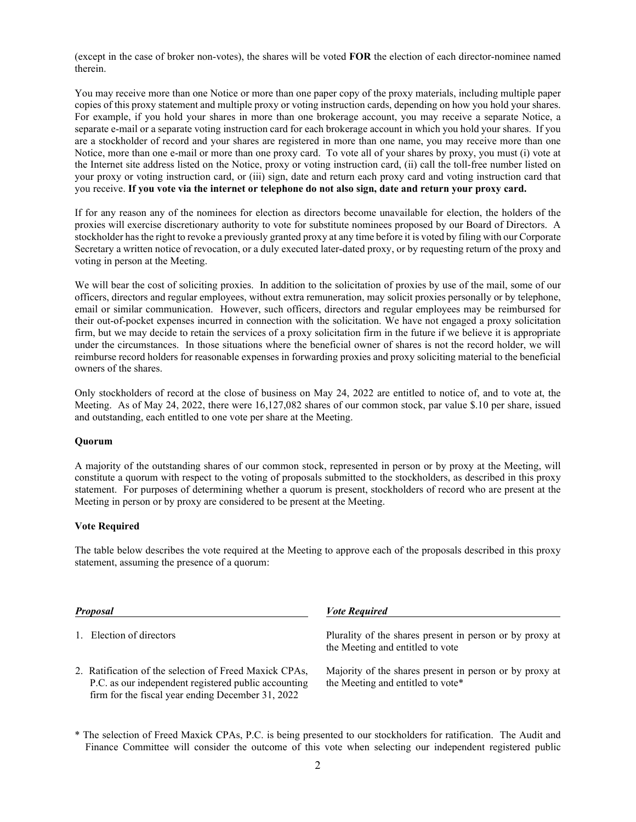(except in the case of broker non-votes), the shares will be voted **FOR** the election of each director-nominee named therein.

You may receive more than one Notice or more than one paper copy of the proxy materials, including multiple paper copies of this proxy statement and multiple proxy or voting instruction cards, depending on how you hold your shares. For example, if you hold your shares in more than one brokerage account, you may receive a separate Notice, a separate e-mail or a separate voting instruction card for each brokerage account in which you hold your shares. If you are a stockholder of record and your shares are registered in more than one name, you may receive more than one Notice, more than one e-mail or more than one proxy card. To vote all of your shares by proxy, you must (i) vote at the Internet site address listed on the Notice, proxy or voting instruction card, (ii) call the toll-free number listed on your proxy or voting instruction card, or (iii) sign, date and return each proxy card and voting instruction card that you receive. **If you vote via the internet or telephone do not also sign, date and return your proxy card.**

If for any reason any of the nominees for election as directors become unavailable for election, the holders of the proxies will exercise discretionary authority to vote for substitute nominees proposed by our Board of Directors. A stockholder has the right to revoke a previously granted proxy at any time before it is voted by filing with our Corporate Secretary a written notice of revocation, or a duly executed later-dated proxy, or by requesting return of the proxy and voting in person at the Meeting.

We will bear the cost of soliciting proxies. In addition to the solicitation of proxies by use of the mail, some of our officers, directors and regular employees, without extra remuneration, may solicit proxies personally or by telephone, email or similar communication. However, such officers, directors and regular employees may be reimbursed for their out-of-pocket expenses incurred in connection with the solicitation. We have not engaged a proxy solicitation firm, but we may decide to retain the services of a proxy solicitation firm in the future if we believe it is appropriate under the circumstances. In those situations where the beneficial owner of shares is not the record holder, we will reimburse record holders for reasonable expenses in forwarding proxies and proxy soliciting material to the beneficial owners of the shares.

Only stockholders of record at the close of business on May 24, 2022 are entitled to notice of, and to vote at, the Meeting. As of May 24, 2022, there were 16,127,082 shares of our common stock, par value \$.10 per share, issued and outstanding, each entitled to one vote per share at the Meeting.

#### <span id="page-5-0"></span>**Quorum**

A majority of the outstanding shares of our common stock, represented in person or by proxy at the Meeting, will constitute a quorum with respect to the voting of proposals submitted to the stockholders, as described in this proxy statement. For purposes of determining whether a quorum is present, stockholders of record who are present at the Meeting in person or by proxy are considered to be present at the Meeting.

#### <span id="page-5-1"></span>**Vote Required**

The table below describes the vote required at the Meeting to approve each of the proposals described in this proxy statement, assuming the presence of a quorum:

2. Ratification of the selection of Freed Maxick CPAs, P.C. as our independent registered public accounting firm for the fiscal year ending December 31, 2022

*<i>Vote Required* 

1. Election of directors Plurality of the shares present in person or by proxy at the Meeting and entitled to vote

> Majority of the shares present in person or by proxy at the Meeting and entitled to vote\*

\* The selection of Freed Maxick CPAs, P.C. is being presented to our stockholders for ratification. The Audit and Finance Committee will consider the outcome of this vote when selecting our independent registered public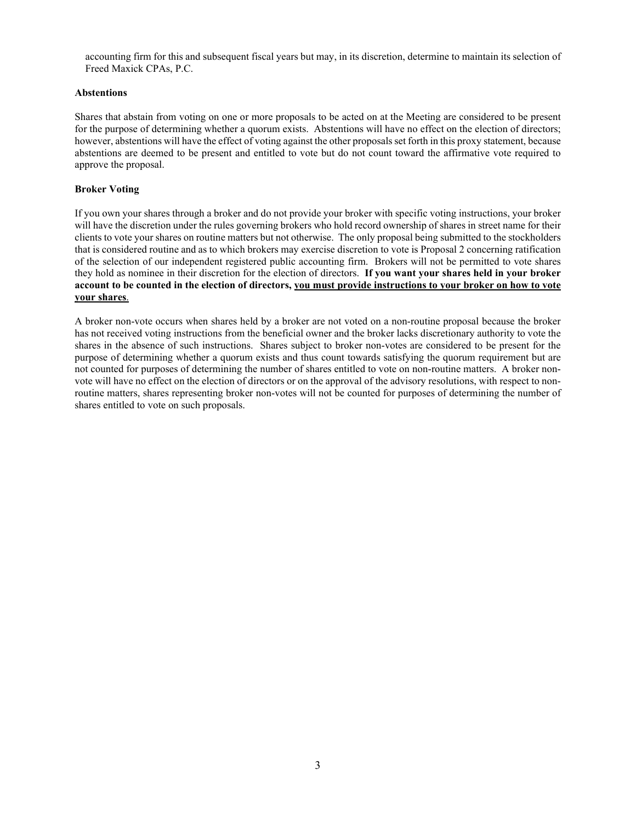accounting firm for this and subsequent fiscal years but may, in its discretion, determine to maintain its selection of Freed Maxick CPAs, P.C.

## <span id="page-6-0"></span>**Abstentions**

Shares that abstain from voting on one or more proposals to be acted on at the Meeting are considered to be present for the purpose of determining whether a quorum exists. Abstentions will have no effect on the election of directors; however, abstentions will have the effect of voting against the other proposals set forth in this proxy statement, because abstentions are deemed to be present and entitled to vote but do not count toward the affirmative vote required to approve the proposal.

## <span id="page-6-1"></span>**Broker Voting**

If you own your shares through a broker and do not provide your broker with specific voting instructions, your broker will have the discretion under the rules governing brokers who hold record ownership of shares in street name for their clients to vote your shares on routine matters but not otherwise. The only proposal being submitted to the stockholders that is considered routine and as to which brokers may exercise discretion to vote is Proposal 2 concerning ratification of the selection of our independent registered public accounting firm. Brokers will not be permitted to vote shares they hold as nominee in their discretion for the election of directors. **If you want your shares held in your broker account to be counted in the election of directors, you must provide instructions to your broker on how to vote your shares**.

A broker non-vote occurs when shares held by a broker are not voted on a non-routine proposal because the broker has not received voting instructions from the beneficial owner and the broker lacks discretionary authority to vote the shares in the absence of such instructions. Shares subject to broker non-votes are considered to be present for the purpose of determining whether a quorum exists and thus count towards satisfying the quorum requirement but are not counted for purposes of determining the number of shares entitled to vote on non-routine matters. A broker nonvote will have no effect on the election of directors or on the approval of the advisory resolutions, with respect to nonroutine matters, shares representing broker non-votes will not be counted for purposes of determining the number of shares entitled to vote on such proposals.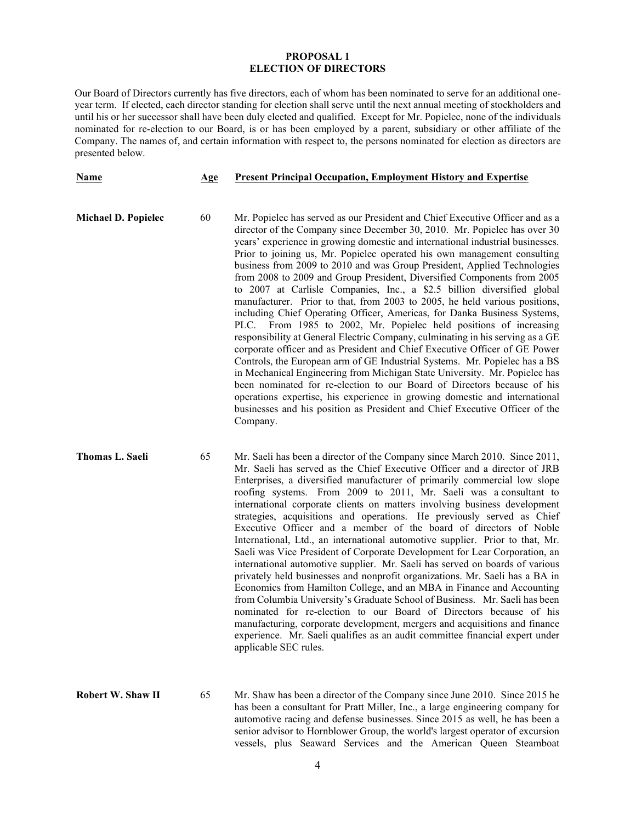# **PROPOSAL 1 ELECTION OF DIRECTORS**

<span id="page-7-0"></span>Our Board of Directors currently has five directors, each of whom has been nominated to serve for an additional oneyear term. If elected, each director standing for election shall serve until the next annual meeting of stockholders and until his or her successor shall have been duly elected and qualified. Except for Mr. Popielec, none of the individuals nominated for re-election to our Board, is or has been employed by a parent, subsidiary or other affiliate of the Company. The names of, and certain information with respect to, the persons nominated for election as directors are presented below.

| <b>Name</b>                | <u>Age</u> | <b>Present Principal Occupation, Employment History and Expertise</b>                                                                                                                                                                                                                                                                                                                                                                                                                                                                                                                                                                                                                                                                                                                                                                                                                                                                                                                                                                                                                                                                                                                                                                                                                                                                                                     |
|----------------------------|------------|---------------------------------------------------------------------------------------------------------------------------------------------------------------------------------------------------------------------------------------------------------------------------------------------------------------------------------------------------------------------------------------------------------------------------------------------------------------------------------------------------------------------------------------------------------------------------------------------------------------------------------------------------------------------------------------------------------------------------------------------------------------------------------------------------------------------------------------------------------------------------------------------------------------------------------------------------------------------------------------------------------------------------------------------------------------------------------------------------------------------------------------------------------------------------------------------------------------------------------------------------------------------------------------------------------------------------------------------------------------------------|
| <b>Michael D. Popielec</b> | 60         | Mr. Popielec has served as our President and Chief Executive Officer and as a<br>director of the Company since December 30, 2010. Mr. Popielec has over 30<br>years' experience in growing domestic and international industrial businesses.<br>Prior to joining us, Mr. Popielec operated his own management consulting<br>business from 2009 to 2010 and was Group President, Applied Technologies<br>from 2008 to 2009 and Group President, Diversified Components from 2005<br>to 2007 at Carlisle Companies, Inc., a \$2.5 billion diversified global<br>manufacturer. Prior to that, from 2003 to 2005, he held various positions,<br>including Chief Operating Officer, Americas, for Danka Business Systems,<br>PLC. From 1985 to 2002, Mr. Popielec held positions of increasing<br>responsibility at General Electric Company, culminating in his serving as a GE<br>corporate officer and as President and Chief Executive Officer of GE Power<br>Controls, the European arm of GE Industrial Systems. Mr. Popielec has a BS<br>in Mechanical Engineering from Michigan State University. Mr. Popielec has<br>been nominated for re-election to our Board of Directors because of his<br>operations expertise, his experience in growing domestic and international<br>businesses and his position as President and Chief Executive Officer of the<br>Company. |
| <b>Thomas L. Saeli</b>     | 65         | Mr. Saeli has been a director of the Company since March 2010. Since 2011,<br>Mr. Saeli has served as the Chief Executive Officer and a director of JRB<br>Enterprises, a diversified manufacturer of primarily commercial low slope<br>roofing systems. From 2009 to 2011, Mr. Saeli was a consultant to<br>international corporate clients on matters involving business development<br>strategies, acquisitions and operations. He previously served as Chief<br>Executive Officer and a member of the board of directors of Noble<br>International, Ltd., an international automotive supplier. Prior to that, Mr.<br>Saeli was Vice President of Corporate Development for Lear Corporation, an<br>international automotive supplier. Mr. Saeli has served on boards of various<br>privately held businesses and nonprofit organizations. Mr. Saeli has a BA in<br>Economics from Hamilton College, and an MBA in Finance and Accounting<br>from Columbia University's Graduate School of Business. Mr. Saeli has been<br>nominated for re-election to our Board of Directors because of his<br>manufacturing, corporate development, mergers and acquisitions and finance<br>experience. Mr. Saeli qualifies as an audit committee financial expert under<br>applicable SEC rules.                                                                                  |
| Robert W. Shaw II          | 65         | Mr. Shaw has been a director of the Company since June 2010. Since 2015 he<br>has been a consultant for Pratt Miller, Inc., a large engineering company for<br>automotive racing and defense businesses. Since 2015 as well, he has been a                                                                                                                                                                                                                                                                                                                                                                                                                                                                                                                                                                                                                                                                                                                                                                                                                                                                                                                                                                                                                                                                                                                                |

senior advisor to Hornblower Group, the world's largest operator of excursion vessels, plus Seaward Services and the American Queen Steamboat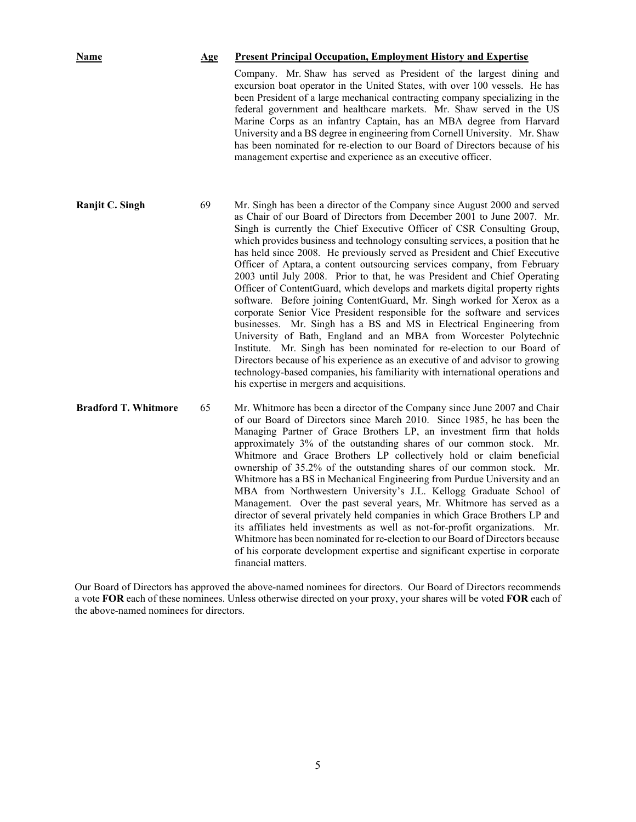| Name                        | <u>Age</u> | <b>Present Principal Occupation, Employment History and Expertise</b><br>Company. Mr. Shaw has served as President of the largest dining and<br>excursion boat operator in the United States, with over 100 vessels. He has<br>been President of a large mechanical contracting company specializing in the<br>federal government and healthcare markets. Mr. Shaw served in the US<br>Marine Corps as an infantry Captain, has an MBA degree from Harvard<br>University and a BS degree in engineering from Cornell University. Mr. Shaw<br>has been nominated for re-election to our Board of Directors because of his<br>management expertise and experience as an executive officer.                                                                                                                                                                                                                                                                                                                                                                                                                                                                                                                                               |
|-----------------------------|------------|----------------------------------------------------------------------------------------------------------------------------------------------------------------------------------------------------------------------------------------------------------------------------------------------------------------------------------------------------------------------------------------------------------------------------------------------------------------------------------------------------------------------------------------------------------------------------------------------------------------------------------------------------------------------------------------------------------------------------------------------------------------------------------------------------------------------------------------------------------------------------------------------------------------------------------------------------------------------------------------------------------------------------------------------------------------------------------------------------------------------------------------------------------------------------------------------------------------------------------------|
| Ranjit C. Singh             | 69         | Mr. Singh has been a director of the Company since August 2000 and served<br>as Chair of our Board of Directors from December 2001 to June 2007. Mr.<br>Singh is currently the Chief Executive Officer of CSR Consulting Group,<br>which provides business and technology consulting services, a position that he<br>has held since 2008. He previously served as President and Chief Executive<br>Officer of Aptara, a content outsourcing services company, from February<br>2003 until July 2008. Prior to that, he was President and Chief Operating<br>Officer of ContentGuard, which develops and markets digital property rights<br>software. Before joining ContentGuard, Mr. Singh worked for Xerox as a<br>corporate Senior Vice President responsible for the software and services<br>businesses. Mr. Singh has a BS and MS in Electrical Engineering from<br>University of Bath, England and an MBA from Worcester Polytechnic<br>Institute. Mr. Singh has been nominated for re-election to our Board of<br>Directors because of his experience as an executive of and advisor to growing<br>technology-based companies, his familiarity with international operations and<br>his expertise in mergers and acquisitions. |
| <b>Bradford T. Whitmore</b> | 65         | Mr. Whitmore has been a director of the Company since June 2007 and Chair<br>of our Board of Directors since March 2010. Since 1985, he has been the<br>Managing Partner of Grace Brothers LP, an investment firm that holds<br>approximately 3% of the outstanding shares of our common stock.<br>Mr.<br>Whitmore and Grace Brothers LP collectively hold or claim beneficial<br>ownership of 35.2% of the outstanding shares of our common stock. Mr.<br>Whitmore has a BS in Mechanical Engineering from Purdue University and an<br>MBA from Northwestern University's J.L. Kellogg Graduate School of<br>Management. Over the past several years, Mr. Whitmore has served as a<br>director of several privately held companies in which Grace Brothers LP and<br>its affiliates held investments as well as not-for-profit organizations. Mr.<br>Whitmore has been nominated for re-election to our Board of Directors because<br>of his corporate development expertise and significant expertise in corporate<br>financial matters.                                                                                                                                                                                             |

Our Board of Directors has approved the above-named nominees for directors. Our Board of Directors recommends a vote **FOR** each of these nominees. Unless otherwise directed on your proxy, your shares will be voted **FOR** each of the above-named nominees for directors.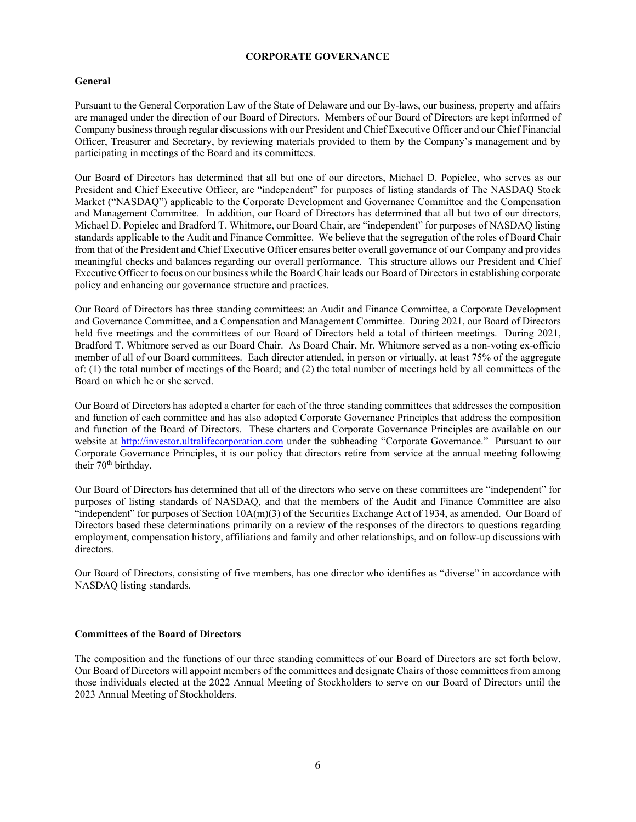## **CORPORATE GOVERNANCE**

## <span id="page-9-1"></span><span id="page-9-0"></span>**General**

Pursuant to the General Corporation Law of the State of Delaware and our By-laws, our business, property and affairs are managed under the direction of our Board of Directors. Members of our Board of Directors are kept informed of Company business through regular discussions with our President and Chief Executive Officer and our Chief Financial Officer, Treasurer and Secretary, by reviewing materials provided to them by the Company's management and by participating in meetings of the Board and its committees.

Our Board of Directors has determined that all but one of our directors, Michael D. Popielec, who serves as our President and Chief Executive Officer, are "independent" for purposes of listing standards of The NASDAQ Stock Market ("NASDAQ") applicable to the Corporate Development and Governance Committee and the Compensation and Management Committee. In addition, our Board of Directors has determined that all but two of our directors, Michael D. Popielec and Bradford T. Whitmore, our Board Chair, are "independent" for purposes of NASDAQ listing standards applicable to the Audit and Finance Committee. We believe that the segregation of the roles of Board Chair from that of the President and Chief Executive Officer ensures better overall governance of our Company and provides meaningful checks and balances regarding our overall performance. This structure allows our President and Chief Executive Officer to focus on our business while the Board Chair leads our Board of Directors in establishing corporate policy and enhancing our governance structure and practices.

Our Board of Directors has three standing committees: an Audit and Finance Committee, a Corporate Development and Governance Committee, and a Compensation and Management Committee. During 2021, our Board of Directors held five meetings and the committees of our Board of Directors held a total of thirteen meetings. During 2021, Bradford T. Whitmore served as our Board Chair. As Board Chair, Mr. Whitmore served as a non-voting ex-officio member of all of our Board committees. Each director attended, in person or virtually, at least 75% of the aggregate of: (1) the total number of meetings of the Board; and (2) the total number of meetings held by all committees of the Board on which he or she served.

Our Board of Directors has adopted a charter for each of the three standing committees that addresses the composition and function of each committee and has also adopted Corporate Governance Principles that address the composition and function of the Board of Directors. These charters and Corporate Governance Principles are available on our website at [http://investor.ultralifecorporation.com](http://investor.ultralifecorporation.com/) under the subheading "Corporate Governance." Pursuant to our Corporate Governance Principles, it is our policy that directors retire from service at the annual meeting following their 70<sup>th</sup> birthday.

Our Board of Directors has determined that all of the directors who serve on these committees are "independent" for purposes of listing standards of NASDAQ, and that the members of the Audit and Finance Committee are also "independent" for purposes of Section 10A(m)(3) of the Securities Exchange Act of 1934, as amended. Our Board of Directors based these determinations primarily on a review of the responses of the directors to questions regarding employment, compensation history, affiliations and family and other relationships, and on follow-up discussions with directors.

Our Board of Directors, consisting of five members, has one director who identifies as "diverse" in accordance with NASDAQ listing standards.

# <span id="page-9-2"></span>**Committees of the Board of Directors**

The composition and the functions of our three standing committees of our Board of Directors are set forth below. Our Board of Directors will appoint members of the committees and designate Chairs of those committees from among those individuals elected at the 2022 Annual Meeting of Stockholders to serve on our Board of Directors until the 2023 Annual Meeting of Stockholders.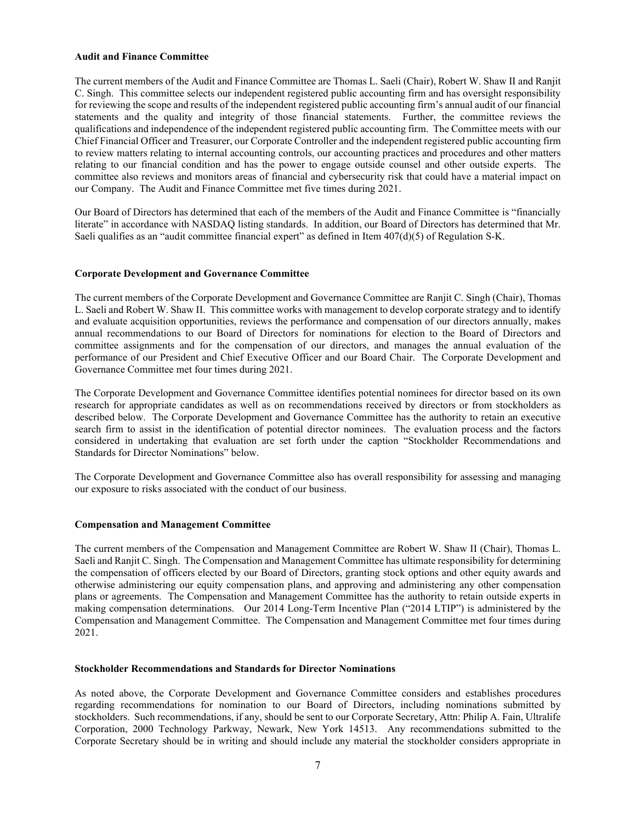#### <span id="page-10-0"></span>**Audit and Finance Committee**

The current members of the Audit and Finance Committee are Thomas L. Saeli (Chair), Robert W. Shaw II and Ranjit C. Singh. This committee selects our independent registered public accounting firm and has oversight responsibility for reviewing the scope and results of the independent registered public accounting firm's annual audit of our financial statements and the quality and integrity of those financial statements. Further, the committee reviews the qualifications and independence of the independent registered public accounting firm. The Committee meets with our Chief Financial Officer and Treasurer, our Corporate Controller and the independent registered public accounting firm to review matters relating to internal accounting controls, our accounting practices and procedures and other matters relating to our financial condition and has the power to engage outside counsel and other outside experts. The committee also reviews and monitors areas of financial and cybersecurity risk that could have a material impact on our Company. The Audit and Finance Committee met five times during 2021.

Our Board of Directors has determined that each of the members of the Audit and Finance Committee is "financially literate" in accordance with NASDAQ listing standards. In addition, our Board of Directors has determined that Mr. Saeli qualifies as an "audit committee financial expert" as defined in Item  $407(d)(5)$  of Regulation S-K.

#### <span id="page-10-1"></span>**Corporate Development and Governance Committee**

The current members of the Corporate Development and Governance Committee are Ranjit C. Singh (Chair), Thomas L. Saeli and Robert W. Shaw II. This committee works with management to develop corporate strategy and to identify and evaluate acquisition opportunities, reviews the performance and compensation of our directors annually, makes annual recommendations to our Board of Directors for nominations for election to the Board of Directors and committee assignments and for the compensation of our directors, and manages the annual evaluation of the performance of our President and Chief Executive Officer and our Board Chair. The Corporate Development and Governance Committee met four times during 2021.

The Corporate Development and Governance Committee identifies potential nominees for director based on its own research for appropriate candidates as well as on recommendations received by directors or from stockholders as described below. The Corporate Development and Governance Committee has the authority to retain an executive search firm to assist in the identification of potential director nominees. The evaluation process and the factors considered in undertaking that evaluation are set forth under the caption "Stockholder Recommendations and Standards for Director Nominations" below.

The Corporate Development and Governance Committee also has overall responsibility for assessing and managing our exposure to risks associated with the conduct of our business.

#### <span id="page-10-2"></span>**Compensation and Management Committee**

The current members of the Compensation and Management Committee are Robert W. Shaw II (Chair), Thomas L. Saeli and Ranjit C. Singh. The Compensation and Management Committee has ultimate responsibility for determining the compensation of officers elected by our Board of Directors, granting stock options and other equity awards and otherwise administering our equity compensation plans, and approving and administering any other compensation plans or agreements. The Compensation and Management Committee has the authority to retain outside experts in making compensation determinations. Our 2014 Long-Term Incentive Plan ("2014 LTIP") is administered by the Compensation and Management Committee. The Compensation and Management Committee met four times during 2021.

#### <span id="page-10-3"></span>**Stockholder Recommendations and Standards for Director Nominations**

As noted above, the Corporate Development and Governance Committee considers and establishes procedures regarding recommendations for nomination to our Board of Directors, including nominations submitted by stockholders. Such recommendations, if any, should be sent to our Corporate Secretary, Attn: Philip A. Fain, Ultralife Corporation, 2000 Technology Parkway, Newark, New York 14513. Any recommendations submitted to the Corporate Secretary should be in writing and should include any material the stockholder considers appropriate in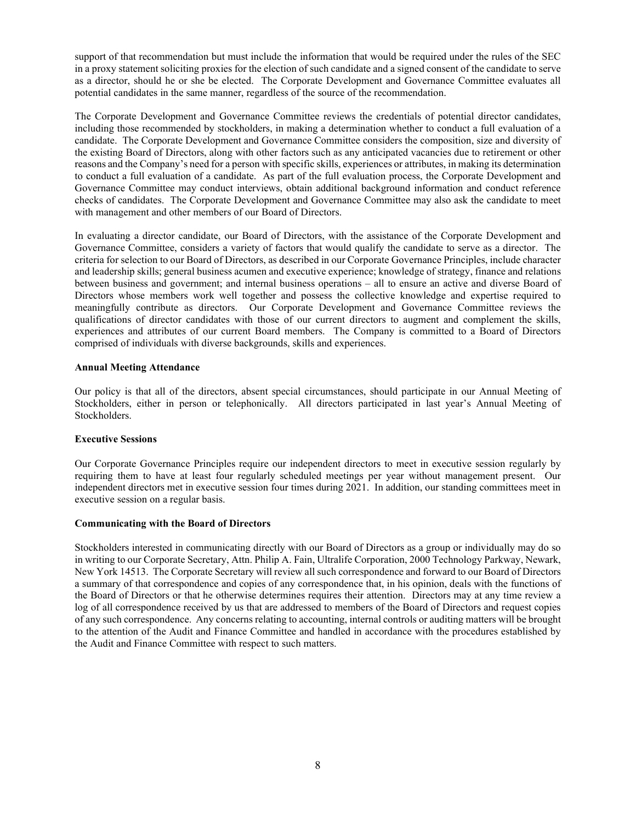support of that recommendation but must include the information that would be required under the rules of the SEC in a proxy statement soliciting proxies for the election of such candidate and a signed consent of the candidate to serve as a director, should he or she be elected. The Corporate Development and Governance Committee evaluates all potential candidates in the same manner, regardless of the source of the recommendation.

The Corporate Development and Governance Committee reviews the credentials of potential director candidates, including those recommended by stockholders, in making a determination whether to conduct a full evaluation of a candidate. The Corporate Development and Governance Committee considers the composition, size and diversity of the existing Board of Directors, along with other factors such as any anticipated vacancies due to retirement or other reasons and the Company's need for a person with specific skills, experiences or attributes, in making its determination to conduct a full evaluation of a candidate. As part of the full evaluation process, the Corporate Development and Governance Committee may conduct interviews, obtain additional background information and conduct reference checks of candidates. The Corporate Development and Governance Committee may also ask the candidate to meet with management and other members of our Board of Directors.

In evaluating a director candidate, our Board of Directors, with the assistance of the Corporate Development and Governance Committee, considers a variety of factors that would qualify the candidate to serve as a director. The criteria for selection to our Board of Directors, as described in our Corporate Governance Principles, include character and leadership skills; general business acumen and executive experience; knowledge of strategy, finance and relations between business and government; and internal business operations – all to ensure an active and diverse Board of Directors whose members work well together and possess the collective knowledge and expertise required to meaningfully contribute as directors. Our Corporate Development and Governance Committee reviews the qualifications of director candidates with those of our current directors to augment and complement the skills, experiences and attributes of our current Board members. The Company is committed to a Board of Directors comprised of individuals with diverse backgrounds, skills and experiences.

#### <span id="page-11-0"></span>**Annual Meeting Attendance**

Our policy is that all of the directors, absent special circumstances, should participate in our Annual Meeting of Stockholders, either in person or telephonically. All directors participated in last year's Annual Meeting of Stockholders.

# <span id="page-11-1"></span>**Executive Sessions**

Our Corporate Governance Principles require our independent directors to meet in executive session regularly by requiring them to have at least four regularly scheduled meetings per year without management present. Our independent directors met in executive session four times during 2021. In addition, our standing committees meet in executive session on a regular basis.

#### <span id="page-11-2"></span>**Communicating with the Board of Directors**

Stockholders interested in communicating directly with our Board of Directors as a group or individually may do so in writing to our Corporate Secretary, Attn. Philip A. Fain, Ultralife Corporation, 2000 Technology Parkway, Newark, New York 14513. The Corporate Secretary will review all such correspondence and forward to our Board of Directors a summary of that correspondence and copies of any correspondence that, in his opinion, deals with the functions of the Board of Directors or that he otherwise determines requires their attention. Directors may at any time review a log of all correspondence received by us that are addressed to members of the Board of Directors and request copies of any such correspondence. Any concerns relating to accounting, internal controls or auditing matters will be brought to the attention of the Audit and Finance Committee and handled in accordance with the procedures established by the Audit and Finance Committee with respect to such matters.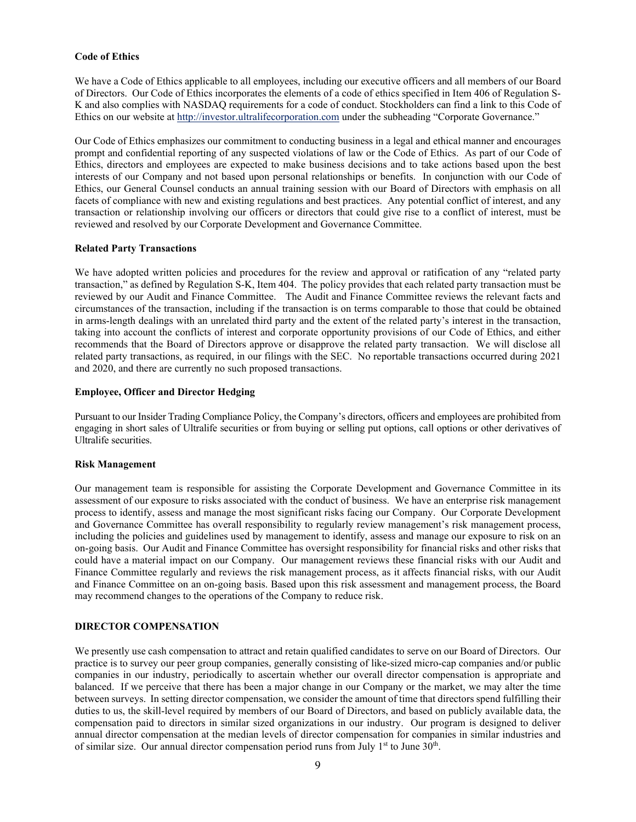## <span id="page-12-0"></span>**Code of Ethics**

We have a Code of Ethics applicable to all employees, including our executive officers and all members of our Board of Directors. Our Code of Ethics incorporates the elements of a code of ethics specified in Item 406 of Regulation S-K and also complies with NASDAQ requirements for a code of conduct. Stockholders can find a link to this Code of Ethics on our website at http://investor.ultralifecorporation.com under the subheading "Corporate Governance."

Our Code of Ethics emphasizes our commitment to conducting business in a legal and ethical manner and encourages prompt and confidential reporting of any suspected violations of law or the Code of Ethics. As part of our Code of Ethics, directors and employees are expected to make business decisions and to take actions based upon the best interests of our Company and not based upon personal relationships or benefits. In conjunction with our Code of Ethics, our General Counsel conducts an annual training session with our Board of Directors with emphasis on all facets of compliance with new and existing regulations and best practices. Any potential conflict of interest, and any transaction or relationship involving our officers or directors that could give rise to a conflict of interest, must be reviewed and resolved by our Corporate Development and Governance Committee.

## <span id="page-12-1"></span>**Related Party Transactions**

We have adopted written policies and procedures for the review and approval or ratification of any "related party transaction," as defined by Regulation S-K, Item 404. The policy provides that each related party transaction must be reviewed by our Audit and Finance Committee. The Audit and Finance Committee reviews the relevant facts and circumstances of the transaction, including if the transaction is on terms comparable to those that could be obtained in arms-length dealings with an unrelated third party and the extent of the related party's interest in the transaction, taking into account the conflicts of interest and corporate opportunity provisions of our Code of Ethics, and either recommends that the Board of Directors approve or disapprove the related party transaction. We will disclose all related party transactions, as required, in our filings with the SEC. No reportable transactions occurred during 2021 and 2020, and there are currently no such proposed transactions.

## <span id="page-12-2"></span>**Employee, Officer and Director Hedging**

Pursuant to our Insider Trading Compliance Policy, the Company's directors, officers and employees are prohibited from engaging in short sales of Ultralife securities or from buying or selling put options, call options or other derivatives of Ultralife securities.

# <span id="page-12-3"></span>**Risk Management**

Our management team is responsible for assisting the Corporate Development and Governance Committee in its assessment of our exposure to risks associated with the conduct of business. We have an enterprise risk management process to identify, assess and manage the most significant risks facing our Company. Our Corporate Development and Governance Committee has overall responsibility to regularly review management's risk management process, including the policies and guidelines used by management to identify, assess and manage our exposure to risk on an on-going basis. Our Audit and Finance Committee has oversight responsibility for financial risks and other risks that could have a material impact on our Company. Our management reviews these financial risks with our Audit and Finance Committee regularly and reviews the risk management process, as it affects financial risks, with our Audit and Finance Committee on an on-going basis. Based upon this risk assessment and management process, the Board may recommend changes to the operations of the Company to reduce risk.

# <span id="page-12-4"></span>**DIRECTOR COMPENSATION**

We presently use cash compensation to attract and retain qualified candidates to serve on our Board of Directors. Our practice is to survey our peer group companies, generally consisting of like-sized micro-cap companies and/or public companies in our industry, periodically to ascertain whether our overall director compensation is appropriate and balanced. If we perceive that there has been a major change in our Company or the market, we may alter the time between surveys. In setting director compensation, we consider the amount of time that directors spend fulfilling their duties to us, the skill-level required by members of our Board of Directors, and based on publicly available data, the compensation paid to directors in similar sized organizations in our industry. Our program is designed to deliver annual director compensation at the median levels of director compensation for companies in similar industries and of similar size. Our annual director compensation period runs from July  $1<sup>st</sup>$  to June 30<sup>th</sup>.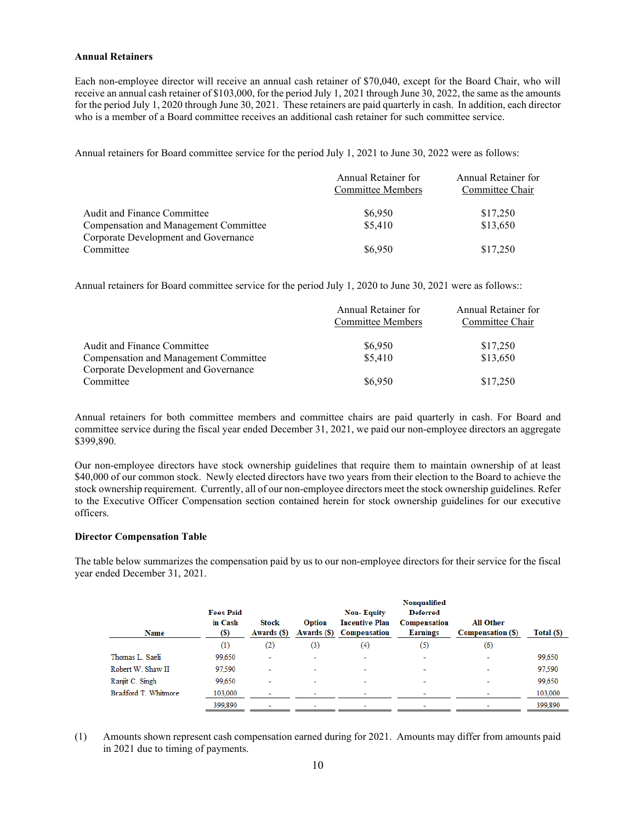## <span id="page-13-0"></span>**Annual Retainers**

Each non-employee director will receive an annual cash retainer of \$70,040, except for the Board Chair, who will receive an annual cash retainer of \$103,000, for the period July 1, 2021 through June 30, 2022, the same as the amounts for the period July 1, 2020 through June 30, 2021. These retainers are paid quarterly in cash. In addition, each director who is a member of a Board committee receives an additional cash retainer for such committee service.

Annual retainers for Board committee service for the period July 1, 2021 to June 30, 2022 were as follows:

| Annual Retainer for<br>Committee Members | Annual Retainer for<br>Committee Chair |
|------------------------------------------|----------------------------------------|
| \$6,950                                  | \$17,250                               |
| \$5,410                                  | \$13,650                               |
| \$6,950                                  | \$17,250                               |
|                                          |                                        |

Annual retainers for Board committee service for the period July 1, 2020 to June 30, 2021 were as follows::

|                                                                               | Annual Retainer for<br><b>Committee Members</b> | Annual Retainer for<br>Committee Chair |
|-------------------------------------------------------------------------------|-------------------------------------------------|----------------------------------------|
| Audit and Finance Committee                                                   | \$6,950                                         | \$17,250                               |
| Compensation and Management Committee<br>Corporate Development and Governance | \$5,410                                         | \$13,650                               |
| Committee                                                                     | \$6,950                                         | \$17,250                               |

Annual retainers for both committee members and committee chairs are paid quarterly in cash. For Board and committee service during the fiscal year ended December 31, 2021, we paid our non-employee directors an aggregate \$399,890.

Our non-employee directors have stock ownership guidelines that require them to maintain ownership of at least \$40,000 of our common stock. Newly elected directors have two years from their election to the Board to achieve the stock ownership requirement. Currently, all of our non-employee directors meet the stock ownership guidelines. Refer to the Executive Officer Compensation section contained herein for stock ownership guidelines for our executive officers.

# <span id="page-13-1"></span>**Director Compensation Table**

The table below summarizes the compensation paid by us to our non-employee directors for their service for the fiscal year ended December 31, 2021.

| <b>Name</b>          | <b>Fees Paid</b><br>in Cash<br>(S) | <b>Stock</b><br>Awards (\$) | Option | <b>Non-Equity</b><br><b>Incentive Plan</b><br>Awards (\$) Compensation | Nonqualified<br><b>Deferred</b><br>Compensation<br><b>Earnings</b> | <b>All Other</b><br><b>Compensation (S)</b> | Total (\$) |
|----------------------|------------------------------------|-----------------------------|--------|------------------------------------------------------------------------|--------------------------------------------------------------------|---------------------------------------------|------------|
|                      | (1)                                | (2)                         | (3)    | (4)                                                                    | (5)                                                                | (6)                                         |            |
| Thomas L. Saeli      | 99,650                             | ٠                           |        | $\overline{\phantom{a}}$                                               | $\overline{\phantom{a}}$                                           |                                             | 99,650     |
| Robert W. Shaw II    | 97,590                             | ٠                           |        |                                                                        | ۰                                                                  |                                             | 97,590     |
| Ranjit C. Singh      | 99,650                             | $\overline{\phantom{a}}$    |        |                                                                        |                                                                    |                                             | 99,650     |
| Bradford T. Whitmore | 103,000                            | $\overline{\phantom{a}}$    |        |                                                                        | $\overline{\phantom{a}}$                                           |                                             | 103,000    |
|                      | 399,890                            | ۰                           |        |                                                                        | ۰                                                                  |                                             | 399,890    |

(1) Amounts shown represent cash compensation earned during for 2021. Amounts may differ from amounts paid in 2021 due to timing of payments.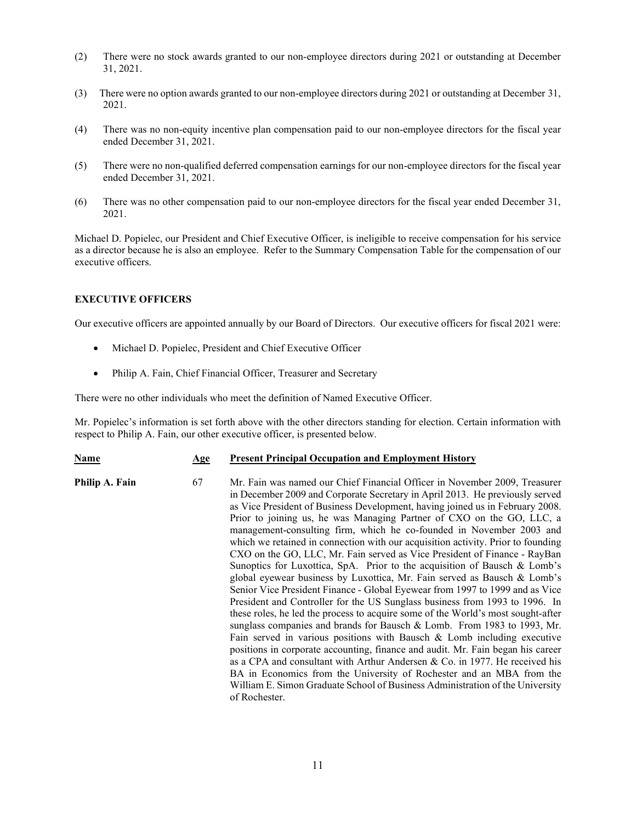- (2) There were no stock awards granted to our non-employee directors during 2021 or outstanding at December 31, 2021.
- (3) There were no option awards granted to our non-employee directors during 2021 or outstanding at December 31, 2021.
- (4) There was no non-equity incentive plan compensation paid to our non-employee directors for the fiscal year ended December 31, 2021.
- (5) There were no non-qualified deferred compensation earnings for our non-employee directors for the fiscal year ended December 31, 2021.
- (6) There was no other compensation paid to our non-employee directors for the fiscal year ended December 31, 2021.

Michael D. Popielec, our President and Chief Executive Officer, is ineligible to receive compensation for his service as a director because he is also an employee. Refer to the Summary Compensation Table for the compensation of our executive officers.

## <span id="page-14-0"></span>**EXECUTIVE OFFICERS**

Our executive officers are appointed annually by our Board of Directors. Our executive officers for fiscal 2021 were:

- Michael D. Popielec, President and Chief Executive Officer
- Philip A. Fain, Chief Financial Officer, Treasurer and Secretary

There were no other individuals who meet the definition of Named Executive Officer.

Mr. Popielec's information is set forth above with the other directors standing for election. Certain information with respect to Philip A. Fain, our other executive officer, is presented below.

| <b>Name</b>    | Age | <b>Present Principal Occupation and Employment History</b>                                                                                                                                                                                                                                                                                                                                                                                                                                                                                                                                                                                                                                                                                                                                                                                                                                                                                                                                                                                                                                                                                                                                                                                                                                                                                                                                                                                                                     |
|----------------|-----|--------------------------------------------------------------------------------------------------------------------------------------------------------------------------------------------------------------------------------------------------------------------------------------------------------------------------------------------------------------------------------------------------------------------------------------------------------------------------------------------------------------------------------------------------------------------------------------------------------------------------------------------------------------------------------------------------------------------------------------------------------------------------------------------------------------------------------------------------------------------------------------------------------------------------------------------------------------------------------------------------------------------------------------------------------------------------------------------------------------------------------------------------------------------------------------------------------------------------------------------------------------------------------------------------------------------------------------------------------------------------------------------------------------------------------------------------------------------------------|
| Philip A. Fain | 67  | Mr. Fain was named our Chief Financial Officer in November 2009, Treasurer<br>in December 2009 and Corporate Secretary in April 2013. He previously served<br>as Vice President of Business Development, having joined us in February 2008.<br>Prior to joining us, he was Managing Partner of CXO on the GO, LLC, a<br>management-consulting firm, which he co-founded in November 2003 and<br>which we retained in connection with our acquisition activity. Prior to founding<br>CXO on the GO, LLC, Mr. Fain served as Vice President of Finance - RayBan<br>Sunoptics for Luxottica, SpA. Prior to the acquisition of Bausch & Lomb's<br>global eyewear business by Luxottica, Mr. Fain served as Bausch & Lomb's<br>Senior Vice President Finance - Global Eyewear from 1997 to 1999 and as Vice<br>President and Controller for the US Sunglass business from 1993 to 1996. In<br>these roles, he led the process to acquire some of the World's most sought-after<br>sunglass companies and brands for Bausch & Lomb. From 1983 to 1993, Mr.<br>Fain served in various positions with Bausch $\&$ Lomb including executive<br>positions in corporate accounting, finance and audit. Mr. Fain began his career<br>as a CPA and consultant with Arthur Andersen & Co. in 1977. He received his<br>BA in Economics from the University of Rochester and an MBA from the<br>William E. Simon Graduate School of Business Administration of the University<br>of Rochester. |
|                |     |                                                                                                                                                                                                                                                                                                                                                                                                                                                                                                                                                                                                                                                                                                                                                                                                                                                                                                                                                                                                                                                                                                                                                                                                                                                                                                                                                                                                                                                                                |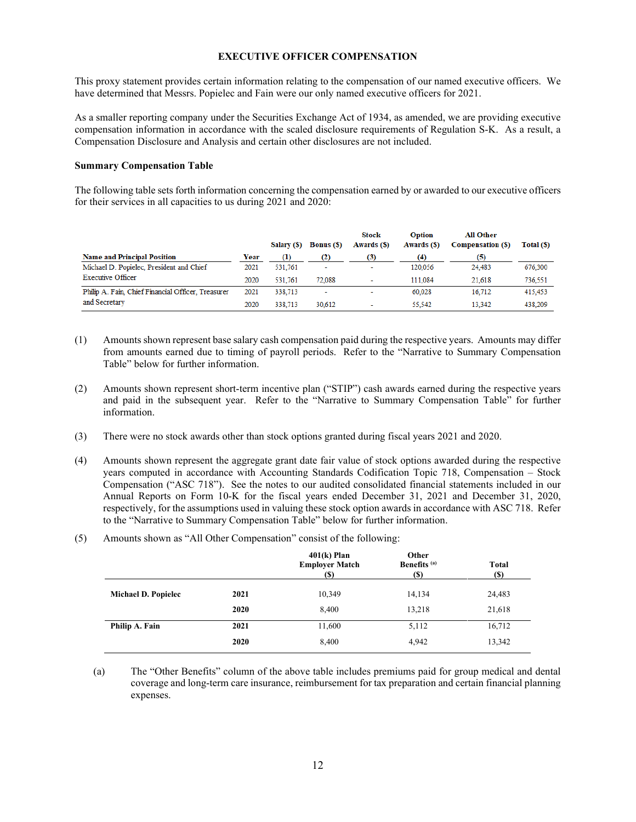## **EXECUTIVE OFFICER COMPENSATION**

<span id="page-15-0"></span>This proxy statement provides certain information relating to the compensation of our named executive officers. We have determined that Messrs. Popielec and Fain were our only named executive officers for 2021.

As a smaller reporting company under the Securities Exchange Act of 1934, as amended, we are providing executive compensation information in accordance with the scaled disclosure requirements of Regulation S-K. As a result, a Compensation Disclosure and Analysis and certain other disclosures are not included.

# <span id="page-15-1"></span>**Summary Compensation Table**

The following table sets forth information concerning the compensation earned by or awarded to our executive officers for their services in all capacities to us during 2021 and 2020:

|                                                    |      | Salary (S) | <b>Bonus</b> (S)         | <b>Stock</b><br>Awards (S) | <b>Option</b><br>Awards (S) | <b>All Other</b><br><b>Compensation (S)</b> | Total (S) |
|----------------------------------------------------|------|------------|--------------------------|----------------------------|-----------------------------|---------------------------------------------|-----------|
| <b>Name and Principal Position</b>                 | Year | $\bf{(1)}$ | (2)                      | (3)                        | (4)                         | (5)                                         |           |
| Michael D. Popielec, President and Chief           | 2021 | 531.761    |                          |                            | 120.056                     | 24,483                                      | 676,300   |
| <b>Executive Officer</b>                           | 2020 | 531.761    | 72.088                   | $\overline{\phantom{a}}$   | 111.084                     | 21,618                                      | 736,551   |
| Philip A. Fain, Chief Financial Officer, Treasurer | 2021 | 338,713    | $\overline{\phantom{a}}$ |                            | 60.028                      | 16.712                                      | 415,453   |
| and Secretary                                      | 2020 | 338,713    | 30.612                   | $\overline{\phantom{a}}$   | 55.542                      | 13.342                                      | 438.209   |

- (1) Amounts shown represent base salary cash compensation paid during the respective years. Amounts may differ from amounts earned due to timing of payroll periods. Refer to the "Narrative to Summary Compensation Table" below for further information.
- (2) Amounts shown represent short-term incentive plan ("STIP") cash awards earned during the respective years and paid in the subsequent year. Refer to the "Narrative to Summary Compensation Table" for further information.
- (3) There were no stock awards other than stock options granted during fiscal years 2021 and 2020.
- (4) Amounts shown represent the aggregate grant date fair value of stock options awarded during the respective years computed in accordance with Accounting Standards Codification Topic 718, Compensation – Stock Compensation ("ASC 718"). See the notes to our audited consolidated financial statements included in our Annual Reports on Form 10-K for the fiscal years ended December 31, 2021 and December 31, 2020, respectively, for the assumptions used in valuing these stock option awards in accordance with ASC 718. Refer to the "Narrative to Summary Compensation Table" below for further information.
- (5) Amounts shown as "All Other Compensation" consist of the following:

|                     |      | $401(k)$ Plan<br><b>Employer Match</b><br>(S) | Other<br>Benefits <sup>(a)</sup><br>(S) | Total<br><b>(S)</b> |
|---------------------|------|-----------------------------------------------|-----------------------------------------|---------------------|
| Michael D. Popielec | 2021 | 10,349                                        | 14,134                                  | 24,483              |
|                     | 2020 | 8,400                                         | 13,218                                  | 21,618              |
| Philip A. Fain      | 2021 | 11,600                                        | 5,112                                   | 16,712              |
|                     | 2020 | 8,400                                         | 4,942                                   | 13,342              |

(a) The "Other Benefits" column of the above table includes premiums paid for group medical and dental coverage and long-term care insurance, reimbursement for tax preparation and certain financial planning expenses.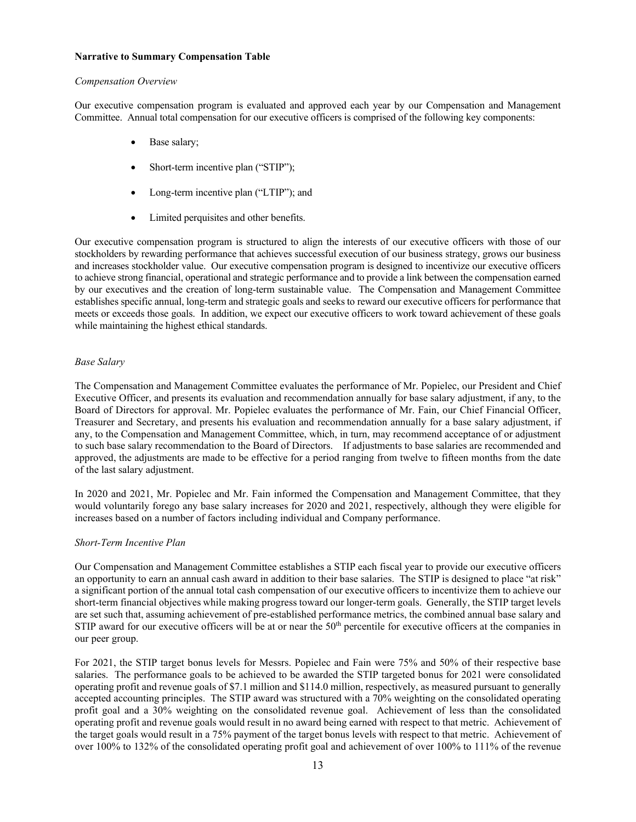## <span id="page-16-0"></span>**Narrative to Summary Compensation Table**

## *Compensation Overview*

Our executive compensation program is evaluated and approved each year by our Compensation and Management Committee. Annual total compensation for our executive officers is comprised of the following key components:

- Base salary;
- Short-term incentive plan ("STIP");
- Long-term incentive plan ("LTIP"); and
- Limited perquisites and other benefits.

Our executive compensation program is structured to align the interests of our executive officers with those of our stockholders by rewarding performance that achieves successful execution of our business strategy, grows our business and increases stockholder value. Our executive compensation program is designed to incentivize our executive officers to achieve strong financial, operational and strategic performance and to provide a link between the compensation earned by our executives and the creation of long-term sustainable value. The Compensation and Management Committee establishes specific annual, long-term and strategic goals and seeks to reward our executive officers for performance that meets or exceeds those goals. In addition, we expect our executive officers to work toward achievement of these goals while maintaining the highest ethical standards.

# *Base Salary*

The Compensation and Management Committee evaluates the performance of Mr. Popielec, our President and Chief Executive Officer, and presents its evaluation and recommendation annually for base salary adjustment, if any, to the Board of Directors for approval. Mr. Popielec evaluates the performance of Mr. Fain, our Chief Financial Officer, Treasurer and Secretary, and presents his evaluation and recommendation annually for a base salary adjustment, if any, to the Compensation and Management Committee, which, in turn, may recommend acceptance of or adjustment to such base salary recommendation to the Board of Directors. If adjustments to base salaries are recommended and approved, the adjustments are made to be effective for a period ranging from twelve to fifteen months from the date of the last salary adjustment.

In 2020 and 2021, Mr. Popielec and Mr. Fain informed the Compensation and Management Committee, that they would voluntarily forego any base salary increases for 2020 and 2021, respectively, although they were eligible for increases based on a number of factors including individual and Company performance.

# *Short-Term Incentive Plan*

Our Compensation and Management Committee establishes a STIP each fiscal year to provide our executive officers an opportunity to earn an annual cash award in addition to their base salaries. The STIP is designed to place "at risk" a significant portion of the annual total cash compensation of our executive officers to incentivize them to achieve our short-term financial objectives while making progress toward our longer-term goals. Generally, the STIP target levels are set such that, assuming achievement of pre-established performance metrics, the combined annual base salary and STIP award for our executive officers will be at or near the  $50<sup>th</sup>$  percentile for executive officers at the companies in our peer group.

For 2021, the STIP target bonus levels for Messrs. Popielec and Fain were 75% and 50% of their respective base salaries. The performance goals to be achieved to be awarded the STIP targeted bonus for 2021 were consolidated operating profit and revenue goals of \$7.1 million and \$114.0 million, respectively, as measured pursuant to generally accepted accounting principles. The STIP award was structured with a 70% weighting on the consolidated operating profit goal and a 30% weighting on the consolidated revenue goal. Achievement of less than the consolidated operating profit and revenue goals would result in no award being earned with respect to that metric. Achievement of the target goals would result in a 75% payment of the target bonus levels with respect to that metric. Achievement of over 100% to 132% of the consolidated operating profit goal and achievement of over 100% to 111% of the revenue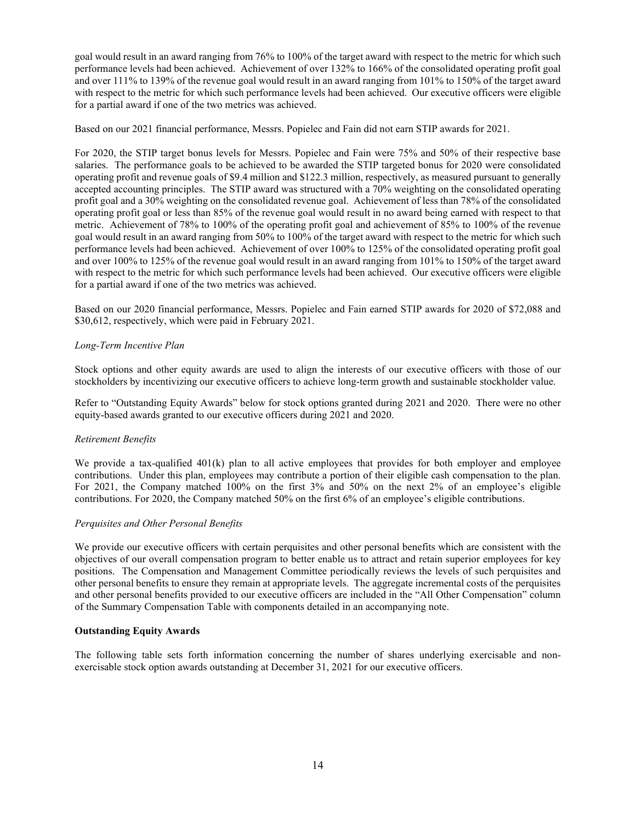goal would result in an award ranging from 76% to 100% of the target award with respect to the metric for which such performance levels had been achieved. Achievement of over 132% to 166% of the consolidated operating profit goal and over 111% to 139% of the revenue goal would result in an award ranging from 101% to 150% of the target award with respect to the metric for which such performance levels had been achieved. Our executive officers were eligible for a partial award if one of the two metrics was achieved.

Based on our 2021 financial performance, Messrs. Popielec and Fain did not earn STIP awards for 2021.

For 2020, the STIP target bonus levels for Messrs. Popielec and Fain were 75% and 50% of their respective base salaries. The performance goals to be achieved to be awarded the STIP targeted bonus for 2020 were consolidated operating profit and revenue goals of \$9.4 million and \$122.3 million, respectively, as measured pursuant to generally accepted accounting principles. The STIP award was structured with a 70% weighting on the consolidated operating profit goal and a 30% weighting on the consolidated revenue goal. Achievement of less than 78% of the consolidated operating profit goal or less than 85% of the revenue goal would result in no award being earned with respect to that metric. Achievement of 78% to 100% of the operating profit goal and achievement of 85% to 100% of the revenue goal would result in an award ranging from 50% to 100% of the target award with respect to the metric for which such performance levels had been achieved. Achievement of over 100% to 125% of the consolidated operating profit goal and over 100% to 125% of the revenue goal would result in an award ranging from 101% to 150% of the target award with respect to the metric for which such performance levels had been achieved. Our executive officers were eligible for a partial award if one of the two metrics was achieved.

Based on our 2020 financial performance, Messrs. Popielec and Fain earned STIP awards for 2020 of \$72,088 and \$30,612, respectively, which were paid in February 2021.

## *Long-Term Incentive Plan*

Stock options and other equity awards are used to align the interests of our executive officers with those of our stockholders by incentivizing our executive officers to achieve long-term growth and sustainable stockholder value.

Refer to "Outstanding Equity Awards" below for stock options granted during 2021 and 2020. There were no other equity-based awards granted to our executive officers during 2021 and 2020.

## *Retirement Benefits*

We provide a tax-qualified  $401(k)$  plan to all active employees that provides for both employer and employee contributions. Under this plan, employees may contribute a portion of their eligible cash compensation to the plan. For 2021, the Company matched 100% on the first 3% and 50% on the next 2% of an employee's eligible contributions. For 2020, the Company matched 50% on the first 6% of an employee's eligible contributions.

#### *Perquisites and Other Personal Benefits*

We provide our executive officers with certain perquisites and other personal benefits which are consistent with the objectives of our overall compensation program to better enable us to attract and retain superior employees for key positions. The Compensation and Management Committee periodically reviews the levels of such perquisites and other personal benefits to ensure they remain at appropriate levels. The aggregate incremental costs of the perquisites and other personal benefits provided to our executive officers are included in the "All Other Compensation" column of the Summary Compensation Table with components detailed in an accompanying note.

#### <span id="page-17-0"></span>**Outstanding Equity Awards**

The following table sets forth information concerning the number of shares underlying exercisable and nonexercisable stock option awards outstanding at December 31, 2021 for our executive officers.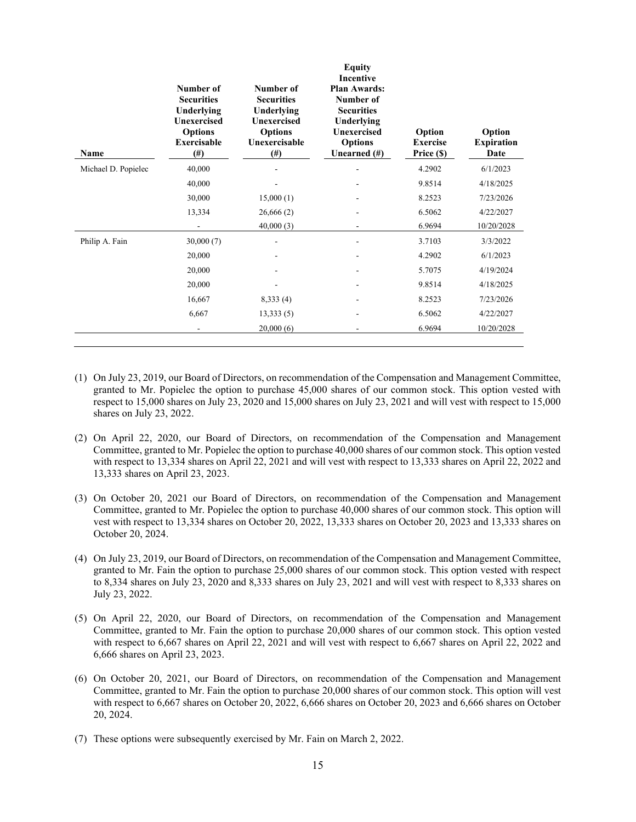| Name                | Number of<br><b>Securities</b><br>Underlying<br><b>Unexercised</b><br><b>Options</b><br><b>Exercisable</b><br>$^{(#)}$ | Number of<br><b>Securities</b><br>Underlying<br>Unexercised<br><b>Options</b><br>Unexercisable<br>#) | <b>Equity</b><br><b>Incentive</b><br><b>Plan Awards:</b><br>Number of<br><b>Securities</b><br>Underlying<br><b>Unexercised</b><br><b>Options</b><br>Unearned (#) | Option<br><b>Exercise</b><br>Price (\$) | Option<br><b>Expiration</b><br>Date |
|---------------------|------------------------------------------------------------------------------------------------------------------------|------------------------------------------------------------------------------------------------------|------------------------------------------------------------------------------------------------------------------------------------------------------------------|-----------------------------------------|-------------------------------------|
| Michael D. Popielec | 40,000                                                                                                                 |                                                                                                      |                                                                                                                                                                  | 4.2902                                  | 6/1/2023                            |
|                     | 40,000                                                                                                                 |                                                                                                      |                                                                                                                                                                  | 9.8514                                  | 4/18/2025                           |
|                     | 30,000                                                                                                                 | 15,000(1)                                                                                            |                                                                                                                                                                  | 8.2523                                  | 7/23/2026                           |
|                     | 13,334                                                                                                                 | 26,666(2)                                                                                            |                                                                                                                                                                  | 6.5062                                  | 4/22/2027                           |
|                     |                                                                                                                        | 40,000(3)                                                                                            |                                                                                                                                                                  | 6.9694                                  | 10/20/2028                          |
| Philip A. Fain      | 30,000(7)                                                                                                              |                                                                                                      |                                                                                                                                                                  | 3.7103                                  | 3/3/2022                            |
|                     | 20,000                                                                                                                 |                                                                                                      |                                                                                                                                                                  | 4.2902                                  | 6/1/2023                            |
|                     | 20,000                                                                                                                 |                                                                                                      |                                                                                                                                                                  | 5.7075                                  | 4/19/2024                           |
|                     | 20,000                                                                                                                 |                                                                                                      |                                                                                                                                                                  | 9.8514                                  | 4/18/2025                           |
|                     | 16,667                                                                                                                 | 8,333(4)                                                                                             |                                                                                                                                                                  | 8.2523                                  | 7/23/2026                           |
|                     | 6,667                                                                                                                  | 13,333(5)                                                                                            |                                                                                                                                                                  | 6.5062                                  | 4/22/2027                           |
|                     |                                                                                                                        | 20,000(6)                                                                                            |                                                                                                                                                                  | 6.9694                                  | 10/20/2028                          |

- (1) On July 23, 2019, our Board of Directors, on recommendation of the Compensation and Management Committee, granted to Mr. Popielec the option to purchase 45,000 shares of our common stock. This option vested with respect to 15,000 shares on July 23, 2020 and 15,000 shares on July 23, 2021 and will vest with respect to 15,000 shares on July 23, 2022.
- (2) On April 22, 2020, our Board of Directors, on recommendation of the Compensation and Management Committee, granted to Mr. Popielec the option to purchase 40,000 shares of our common stock. This option vested with respect to 13,334 shares on April 22, 2021 and will vest with respect to 13,333 shares on April 22, 2022 and 13,333 shares on April 23, 2023.
- (3) On October 20, 2021 our Board of Directors, on recommendation of the Compensation and Management Committee, granted to Mr. Popielec the option to purchase 40,000 shares of our common stock. This option will vest with respect to 13,334 shares on October 20, 2022, 13,333 shares on October 20, 2023 and 13,333 shares on October 20, 2024.
- (4) On July 23, 2019, our Board of Directors, on recommendation of the Compensation and Management Committee, granted to Mr. Fain the option to purchase 25,000 shares of our common stock. This option vested with respect to 8,334 shares on July 23, 2020 and 8,333 shares on July 23, 2021 and will vest with respect to 8,333 shares on July 23, 2022.
- (5) On April 22, 2020, our Board of Directors, on recommendation of the Compensation and Management Committee, granted to Mr. Fain the option to purchase 20,000 shares of our common stock. This option vested with respect to 6,667 shares on April 22, 2021 and will vest with respect to 6,667 shares on April 22, 2022 and 6,666 shares on April 23, 2023.
- (6) On October 20, 2021, our Board of Directors, on recommendation of the Compensation and Management Committee, granted to Mr. Fain the option to purchase 20,000 shares of our common stock. This option will vest with respect to 6,667 shares on October 20, 2022, 6,666 shares on October 20, 2023 and 6,666 shares on October 20, 2024.
- (7) These options were subsequently exercised by Mr. Fain on March 2, 2022.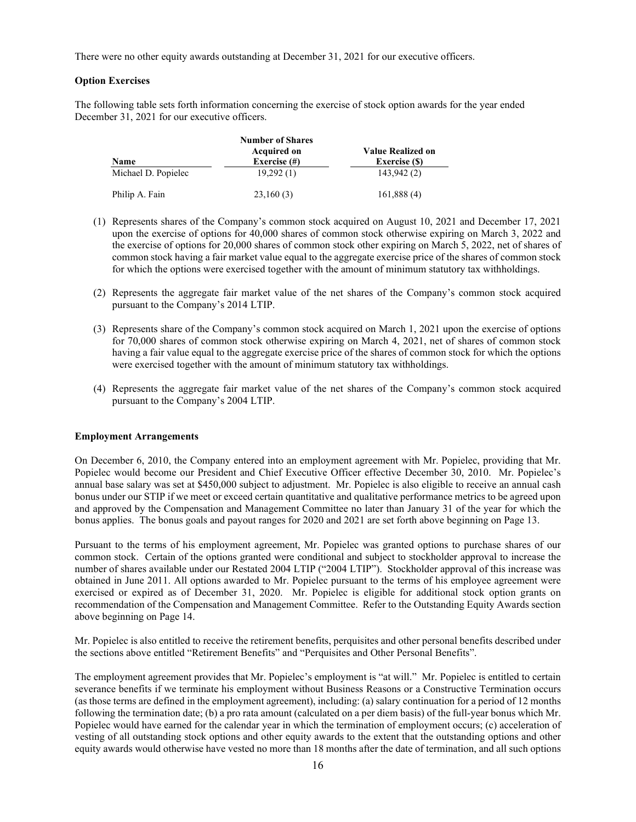There were no other equity awards outstanding at December 31, 2021 for our executive officers.

## <span id="page-19-0"></span>**Option Exercises**

The following table sets forth information concerning the exercise of stock option awards for the year ended December 31, 2021 for our executive officers.

|                     | <b>Number of Shares</b> |                      |
|---------------------|-------------------------|----------------------|
|                     | <b>Acquired on</b>      | Value Realized on    |
| <b>Name</b>         | Exercise $(\#)$         | <b>Exercise</b> (\$) |
| Michael D. Popielec | 19.292(1)               | 143,942 (2)          |
| Philip A. Fain      | 23,160(3)               | 161,888 (4)          |

- (1) Represents shares of the Company's common stock acquired on August 10, 2021 and December 17, 2021 upon the exercise of options for 40,000 shares of common stock otherwise expiring on March 3, 2022 and the exercise of options for 20,000 shares of common stock other expiring on March 5, 2022, net of shares of common stock having a fair market value equal to the aggregate exercise price of the shares of common stock for which the options were exercised together with the amount of minimum statutory tax withholdings.
- (2) Represents the aggregate fair market value of the net shares of the Company's common stock acquired pursuant to the Company's 2014 LTIP.
- (3) Represents share of the Company's common stock acquired on March 1, 2021 upon the exercise of options for 70,000 shares of common stock otherwise expiring on March 4, 2021, net of shares of common stock having a fair value equal to the aggregate exercise price of the shares of common stock for which the options were exercised together with the amount of minimum statutory tax withholdings.
- (4) Represents the aggregate fair market value of the net shares of the Company's common stock acquired pursuant to the Company's 2004 LTIP.

#### <span id="page-19-1"></span>**Employment Arrangements**

On December 6, 2010, the Company entered into an employment agreement with Mr. Popielec, providing that Mr. Popielec would become our President and Chief Executive Officer effective December 30, 2010. Mr. Popielec's annual base salary was set at \$450,000 subject to adjustment. Mr. Popielec is also eligible to receive an annual cash bonus under our STIP if we meet or exceed certain quantitative and qualitative performance metrics to be agreed upon and approved by the Compensation and Management Committee no later than January 31 of the year for which the bonus applies. The bonus goals and payout ranges for 2020 and 2021 are set forth above beginning on Page 13.

Pursuant to the terms of his employment agreement, Mr. Popielec was granted options to purchase shares of our common stock. Certain of the options granted were conditional and subject to stockholder approval to increase the number of shares available under our Restated 2004 LTIP ("2004 LTIP"). Stockholder approval of this increase was obtained in June 2011. All options awarded to Mr. Popielec pursuant to the terms of his employee agreement were exercised or expired as of December 31, 2020. Mr. Popielec is eligible for additional stock option grants on recommendation of the Compensation and Management Committee. Refer to the Outstanding Equity Awards section above beginning on Page 14.

Mr. Popielec is also entitled to receive the retirement benefits, perquisites and other personal benefits described under the sections above entitled "Retirement Benefits" and "Perquisites and Other Personal Benefits".

The employment agreement provides that Mr. Popielec's employment is "at will." Mr. Popielec is entitled to certain severance benefits if we terminate his employment without Business Reasons or a Constructive Termination occurs (as those terms are defined in the employment agreement), including: (a) salary continuation for a period of 12 months following the termination date; (b) a pro rata amount (calculated on a per diem basis) of the full-year bonus which Mr. Popielec would have earned for the calendar year in which the termination of employment occurs; (c) acceleration of vesting of all outstanding stock options and other equity awards to the extent that the outstanding options and other equity awards would otherwise have vested no more than 18 months after the date of termination, and all such options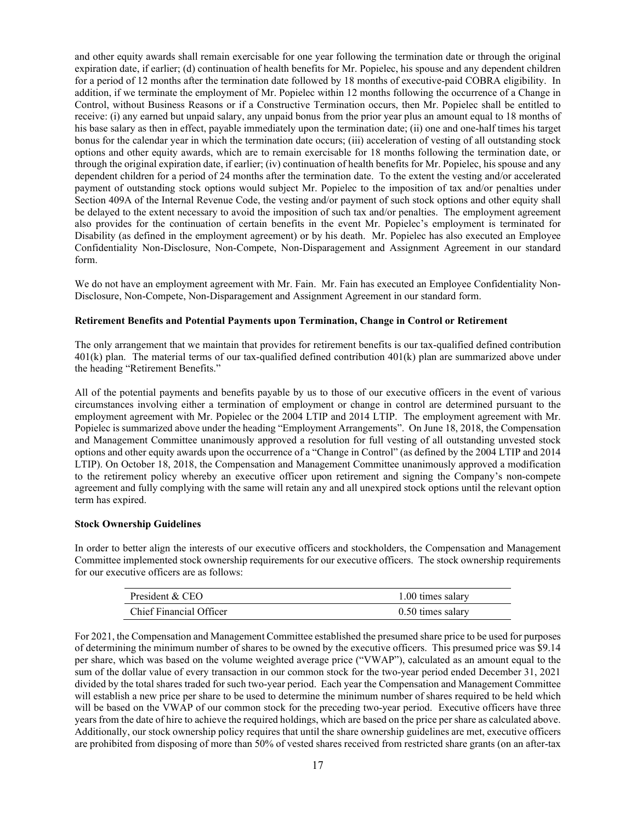and other equity awards shall remain exercisable for one year following the termination date or through the original expiration date, if earlier; (d) continuation of health benefits for Mr. Popielec, his spouse and any dependent children for a period of 12 months after the termination date followed by 18 months of executive-paid COBRA eligibility. In addition, if we terminate the employment of Mr. Popielec within 12 months following the occurrence of a Change in Control, without Business Reasons or if a Constructive Termination occurs, then Mr. Popielec shall be entitled to receive: (i) any earned but unpaid salary, any unpaid bonus from the prior year plus an amount equal to 18 months of his base salary as then in effect, payable immediately upon the termination date; (ii) one and one-half times his target bonus for the calendar year in which the termination date occurs; (iii) acceleration of vesting of all outstanding stock options and other equity awards, which are to remain exercisable for 18 months following the termination date, or through the original expiration date, if earlier; (iv) continuation of health benefits for Mr. Popielec, his spouse and any dependent children for a period of 24 months after the termination date. To the extent the vesting and/or accelerated payment of outstanding stock options would subject Mr. Popielec to the imposition of tax and/or penalties under Section 409A of the Internal Revenue Code, the vesting and/or payment of such stock options and other equity shall be delayed to the extent necessary to avoid the imposition of such tax and/or penalties. The employment agreement also provides for the continuation of certain benefits in the event Mr. Popielec's employment is terminated for Disability (as defined in the employment agreement) or by his death. Mr. Popielec has also executed an Employee Confidentiality Non-Disclosure, Non-Compete, Non-Disparagement and Assignment Agreement in our standard form.

We do not have an employment agreement with Mr. Fain. Mr. Fain has executed an Employee Confidentiality Non-Disclosure, Non-Compete, Non-Disparagement and Assignment Agreement in our standard form.

## <span id="page-20-0"></span>**Retirement Benefits and Potential Payments upon Termination, Change in Control or Retirement**

The only arrangement that we maintain that provides for retirement benefits is our tax-qualified defined contribution  $401(k)$  plan. The material terms of our tax-qualified defined contribution  $401(k)$  plan are summarized above under the heading "Retirement Benefits."

All of the potential payments and benefits payable by us to those of our executive officers in the event of various circumstances involving either a termination of employment or change in control are determined pursuant to the employment agreement with Mr. Popielec or the 2004 LTIP and 2014 LTIP. The employment agreement with Mr. Popielec is summarized above under the heading "Employment Arrangements". On June 18, 2018, the Compensation and Management Committee unanimously approved a resolution for full vesting of all outstanding unvested stock options and other equity awards upon the occurrence of a "Change in Control" (as defined by the 2004 LTIP and 2014 LTIP). On October 18, 2018, the Compensation and Management Committee unanimously approved a modification to the retirement policy whereby an executive officer upon retirement and signing the Company's non-compete agreement and fully complying with the same will retain any and all unexpired stock options until the relevant option term has expired.

#### <span id="page-20-1"></span>**Stock Ownership Guidelines**

In order to better align the interests of our executive officers and stockholders, the Compensation and Management Committee implemented stock ownership requirements for our executive officers. The stock ownership requirements for our executive officers are as follows:

| President & CEO         | 1.00 times salary |
|-------------------------|-------------------|
| Chief Financial Officer | 0.50 times salary |

For 2021, the Compensation and Management Committee established the presumed share price to be used for purposes of determining the minimum number of shares to be owned by the executive officers. This presumed price was \$9.14 per share, which was based on the volume weighted average price ("VWAP"), calculated as an amount equal to the sum of the dollar value of every transaction in our common stock for the two-year period ended December 31, 2021 divided by the total shares traded for such two-year period. Each year the Compensation and Management Committee will establish a new price per share to be used to determine the minimum number of shares required to be held which will be based on the VWAP of our common stock for the preceding two-year period. Executive officers have three years from the date of hire to achieve the required holdings, which are based on the price per share as calculated above. Additionally, our stock ownership policy requires that until the share ownership guidelines are met, executive officers are prohibited from disposing of more than 50% of vested shares received from restricted share grants (on an after-tax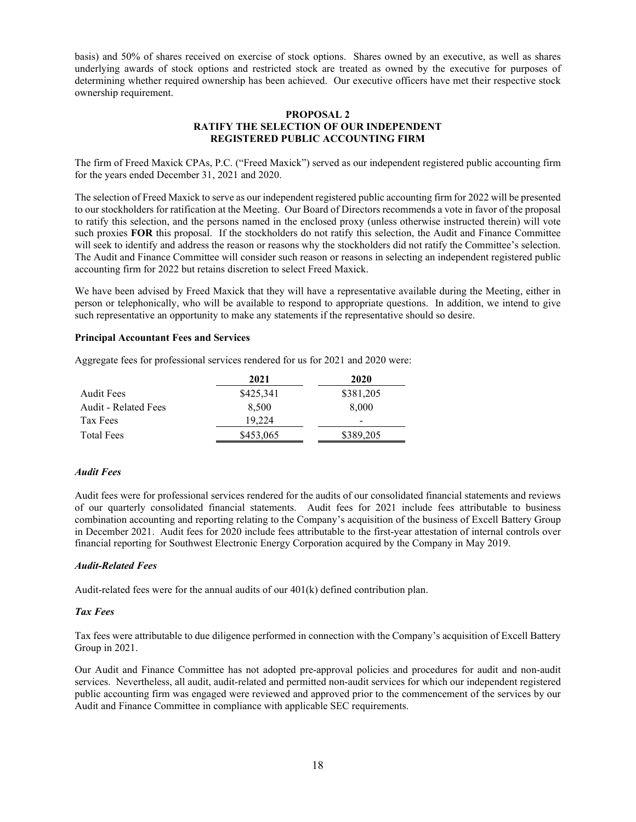basis) and 50% of shares received on exercise of stock options. Shares owned by an executive, as well as shares underlying awards of stock options and restricted stock are treated as owned by the executive for purposes of determining whether required ownership has been achieved. Our executive officers have met their respective stock ownership requirement.

## **PROPOSAL 2 RATIFY THE SELECTION OF OUR INDEPENDENT REGISTERED PUBLIC ACCOUNTING FIRM**

<span id="page-21-0"></span>The firm of Freed Maxick CPAs, P.C. ("Freed Maxick") served as our independent registered public accounting firm for the years ended December 31, 2021 and 2020.

The selection of Freed Maxick to serve as our independent registered public accounting firm for 2022 will be presented to our stockholders for ratification at the Meeting. Our Board of Directors recommends a vote in favor of the proposal to ratify this selection, and the persons named in the enclosed proxy (unless otherwise instructed therein) will vote such proxies **FOR** this proposal. If the stockholders do not ratify this selection, the Audit and Finance Committee will seek to identify and address the reason or reasons why the stockholders did not ratify the Committee's selection. The Audit and Finance Committee will consider such reason or reasons in selecting an independent registered public accounting firm for 2022 but retains discretion to select Freed Maxick.

We have been advised by Freed Maxick that they will have a representative available during the Meeting, either in person or telephonically, who will be available to respond to appropriate questions. In addition, we intend to give such representative an opportunity to make any statements if the representative should so desire.

#### <span id="page-21-1"></span>**Principal Accountant Fees and Services**

Aggregate fees for professional services rendered for us for 2021 and 2020 were:

|                      | 2021      | 2020      |
|----------------------|-----------|-----------|
| <b>Audit Fees</b>    | \$425,341 | \$381,205 |
| Audit - Related Fees | 8.500     | 8.000     |
| Tax Fees             | 19.224    |           |
| <b>Total Fees</b>    | \$453,065 | \$389,205 |

#### *Audit Fees*

Audit fees were for professional services rendered for the audits of our consolidated financial statements and reviews of our quarterly consolidated financial statements. Audit fees for 2021 include fees attributable to business combination accounting and reporting relating to the Company's acquisition of the business of Excell Battery Group in December 2021. Audit fees for 2020 include fees attributable to the first-year attestation of internal controls over financial reporting for Southwest Electronic Energy Corporation acquired by the Company in May 2019.

#### *Audit-Related Fees*

Audit-related fees were for the annual audits of our 401(k) defined contribution plan.

#### *Tax Fees*

Tax fees were attributable to due diligence performed in connection with the Company's acquisition of Excell Battery Group in 2021.

Our Audit and Finance Committee has not adopted pre-approval policies and procedures for audit and non-audit services. Nevertheless, all audit, audit-related and permitted non-audit services for which our independent registered public accounting firm was engaged were reviewed and approved prior to the commencement of the services by our Audit and Finance Committee in compliance with applicable SEC requirements.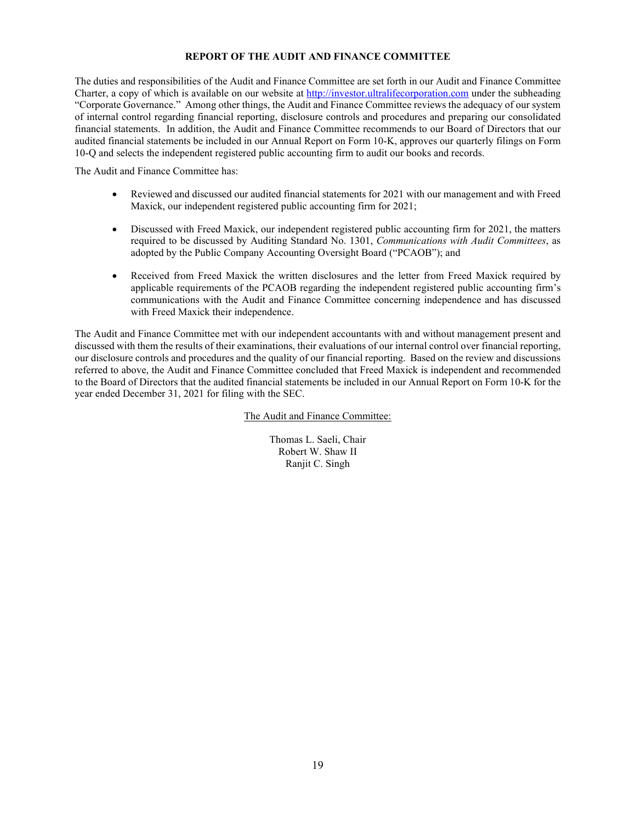## **REPORT OF THE AUDIT AND FINANCE COMMITTEE**

<span id="page-22-0"></span>The duties and responsibilities of the Audit and Finance Committee are set forth in our Audit and Finance Committee Charter, a copy of which is available on our website at [http://investor.ultralifecorporation.com](http://investor.ultralifecorporation.com/) under the subheading "Corporate Governance." Among other things, the Audit and Finance Committee reviews the adequacy of our system of internal control regarding financial reporting, disclosure controls and procedures and preparing our consolidated financial statements. In addition, the Audit and Finance Committee recommends to our Board of Directors that our audited financial statements be included in our Annual Report on Form 10-K, approves our quarterly filings on Form 10-Q and selects the independent registered public accounting firm to audit our books and records.

The Audit and Finance Committee has:

- Reviewed and discussed our audited financial statements for 2021 with our management and with Freed Maxick, our independent registered public accounting firm for 2021;
- Discussed with Freed Maxick, our independent registered public accounting firm for 2021, the matters required to be discussed by Auditing Standard No. 1301, *Communications with Audit Committees*, as adopted by the Public Company Accounting Oversight Board ("PCAOB"); and
- Received from Freed Maxick the written disclosures and the letter from Freed Maxick required by applicable requirements of the PCAOB regarding the independent registered public accounting firm's communications with the Audit and Finance Committee concerning independence and has discussed with Freed Maxick their independence.

The Audit and Finance Committee met with our independent accountants with and without management present and discussed with them the results of their examinations, their evaluations of our internal control over financial reporting, our disclosure controls and procedures and the quality of our financial reporting. Based on the review and discussions referred to above, the Audit and Finance Committee concluded that Freed Maxick is independent and recommended to the Board of Directors that the audited financial statements be included in our Annual Report on Form 10-K for the year ended December 31, 2021 for filing with the SEC.

The Audit and Finance Committee:

Thomas L. Saeli, Chair Robert W. Shaw II Ranjit C. Singh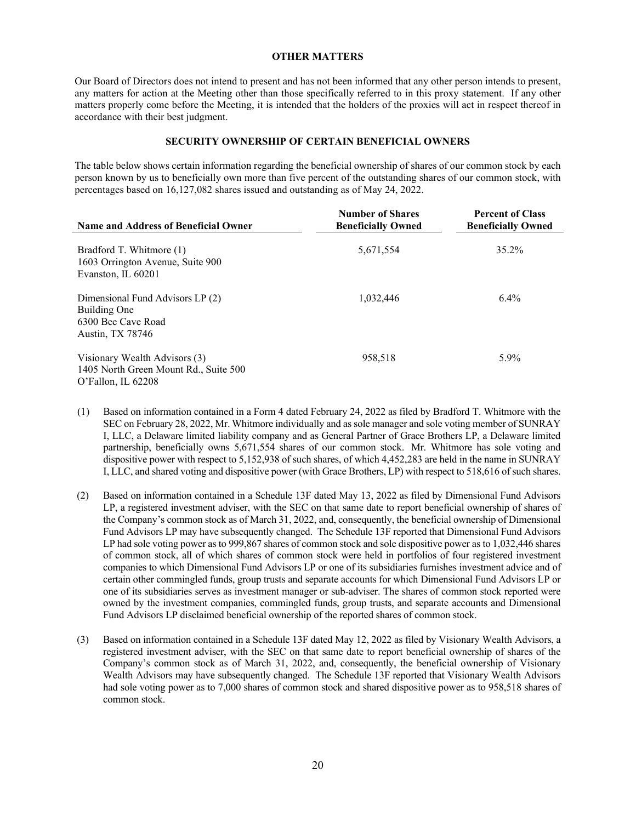## **OTHER MATTERS**

<span id="page-23-0"></span>Our Board of Directors does not intend to present and has not been informed that any other person intends to present, any matters for action at the Meeting other than those specifically referred to in this proxy statement. If any other matters properly come before the Meeting, it is intended that the holders of the proxies will act in respect thereof in accordance with their best judgment.

## **SECURITY OWNERSHIP OF CERTAIN BENEFICIAL OWNERS**

<span id="page-23-1"></span>The table below shows certain information regarding the beneficial ownership of shares of our common stock by each person known by us to beneficially own more than five percent of the outstanding shares of our common stock, with percentages based on 16,127,082 shares issued and outstanding as of May 24, 2022.

| Name and Address of Beneficial Owner                                                         | <b>Number of Shares</b><br><b>Beneficially Owned</b> | <b>Percent of Class</b><br><b>Beneficially Owned</b> |
|----------------------------------------------------------------------------------------------|------------------------------------------------------|------------------------------------------------------|
| Bradford T. Whitmore (1)<br>1603 Orrington Avenue, Suite 900<br>Evanston, IL 60201           | 5,671,554                                            | 35.2%                                                |
| Dimensional Fund Advisors LP (2)<br>Building One<br>6300 Bee Cave Road<br>Austin, TX 78746   | 1,032,446                                            | $6.4\%$                                              |
| Visionary Wealth Advisors (3)<br>1405 North Green Mount Rd., Suite 500<br>O'Fallon. IL 62208 | 958,518                                              | 5.9%                                                 |

- (1) Based on information contained in a Form 4 dated February 24, 2022 as filed by Bradford T. Whitmore with the SEC on February 28, 2022, Mr. Whitmore individually and as sole manager and sole voting member of SUNRAY I, LLC, a Delaware limited liability company and as General Partner of Grace Brothers LP, a Delaware limited partnership, beneficially owns 5,671,554 shares of our common stock. Mr. Whitmore has sole voting and dispositive power with respect to 5,152,938 of such shares, of which 4,452,283 are held in the name in SUNRAY I, LLC, and shared voting and dispositive power (with Grace Brothers, LP) with respect to 518,616 of such shares.
- (2) Based on information contained in a Schedule 13F dated May 13, 2022 as filed by Dimensional Fund Advisors LP, a registered investment adviser, with the SEC on that same date to report beneficial ownership of shares of the Company's common stock as of March 31, 2022, and, consequently, the beneficial ownership of Dimensional Fund Advisors LP may have subsequently changed. The Schedule 13F reported that Dimensional Fund Advisors LP had sole voting power as to 999,867 shares of common stock and sole dispositive power as to 1,032,446 shares of common stock, all of which shares of common stock were held in portfolios of four registered investment companies to which Dimensional Fund Advisors LP or one of its subsidiaries furnishes investment advice and of certain other commingled funds, group trusts and separate accounts for which Dimensional Fund Advisors LP or one of its subsidiaries serves as investment manager or sub-adviser. The shares of common stock reported were owned by the investment companies, commingled funds, group trusts, and separate accounts and Dimensional Fund Advisors LP disclaimed beneficial ownership of the reported shares of common stock.
- (3) Based on information contained in a Schedule 13F dated May 12, 2022 as filed by Visionary Wealth Advisors, a registered investment adviser, with the SEC on that same date to report beneficial ownership of shares of the Company's common stock as of March 31, 2022, and, consequently, the beneficial ownership of Visionary Wealth Advisors may have subsequently changed. The Schedule 13F reported that Visionary Wealth Advisors had sole voting power as to 7,000 shares of common stock and shared dispositive power as to 958,518 shares of common stock.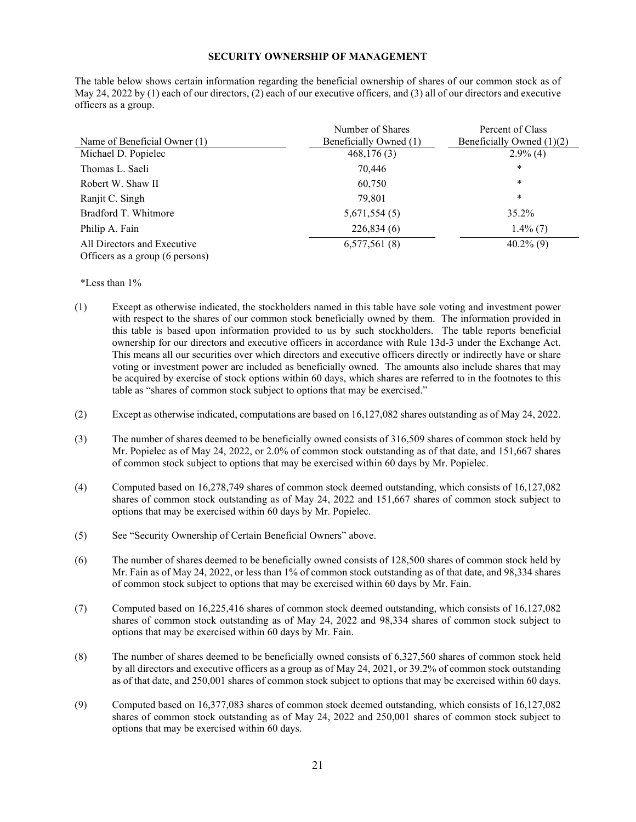#### **SECURITY OWNERSHIP OF MANAGEMENT**

<span id="page-24-0"></span>The table below shows certain information regarding the beneficial ownership of shares of our common stock as of May 24, 2022 by (1) each of our directors, (2) each of our executive officers, and (3) all of our directors and executive officers as a group.

|                                                                | Number of Shares       | Percent of Class            |
|----------------------------------------------------------------|------------------------|-----------------------------|
| Name of Beneficial Owner (1)                                   | Beneficially Owned (1) | Beneficially Owned $(1)(2)$ |
| Michael D. Popielec                                            | 468,176(3)             | $2.9\%$ (4)                 |
| Thomas L. Saeli                                                | 70,446                 | $\ast$                      |
| Robert W. Shaw II                                              | 60,750                 | $\ast$                      |
| Ranjit C. Singh                                                | 79.801                 | $\ast$                      |
| Bradford T. Whitmore                                           | 5,671,554(5)           | 35.2%                       |
| Philip A. Fain                                                 | 226,834(6)             | $1.4\%$ (7)                 |
| All Directors and Executive<br>Officers as a group (6 persons) | 6,577,561(8)           | $40.2\%$ (9)                |

\*Less than 1%

- (1) Except as otherwise indicated, the stockholders named in this table have sole voting and investment power with respect to the shares of our common stock beneficially owned by them. The information provided in this table is based upon information provided to us by such stockholders. The table reports beneficial ownership for our directors and executive officers in accordance with Rule 13d-3 under the Exchange Act. This means all our securities over which directors and executive officers directly or indirectly have or share voting or investment power are included as beneficially owned. The amounts also include shares that may be acquired by exercise of stock options within 60 days, which shares are referred to in the footnotes to this table as "shares of common stock subject to options that may be exercised."
- (2) Except as otherwise indicated, computations are based on 16,127,082 shares outstanding as of May 24, 2022.
- (3) The number of shares deemed to be beneficially owned consists of 316,509 shares of common stock held by Mr. Popielec as of May 24, 2022, or 2.0% of common stock outstanding as of that date, and 151,667 shares of common stock subject to options that may be exercised within 60 days by Mr. Popielec.
- (4) Computed based on 16,278,749 shares of common stock deemed outstanding, which consists of 16,127,082 shares of common stock outstanding as of May 24, 2022 and 151,667 shares of common stock subject to options that may be exercised within 60 days by Mr. Popielec.
- (5) See "Security Ownership of Certain Beneficial Owners" above.
- (6) The number of shares deemed to be beneficially owned consists of 128,500 shares of common stock held by Mr. Fain as of May 24, 2022, or less than 1% of common stock outstanding as of that date, and 98,334 shares of common stock subject to options that may be exercised within 60 days by Mr. Fain.
- (7) Computed based on 16,225,416 shares of common stock deemed outstanding, which consists of 16,127,082 shares of common stock outstanding as of May 24, 2022 and 98,334 shares of common stock subject to options that may be exercised within 60 days by Mr. Fain.
- (8) The number of shares deemed to be beneficially owned consists of 6,327,560 shares of common stock held by all directors and executive officers as a group as of May 24, 2021, or 39.2% of common stock outstanding as of that date, and 250,001 shares of common stock subject to options that may be exercised within 60 days.
- (9) Computed based on 16,377,083 shares of common stock deemed outstanding, which consists of 16,127,082 shares of common stock outstanding as of May 24, 2022 and 250,001 shares of common stock subject to options that may be exercised within 60 days.